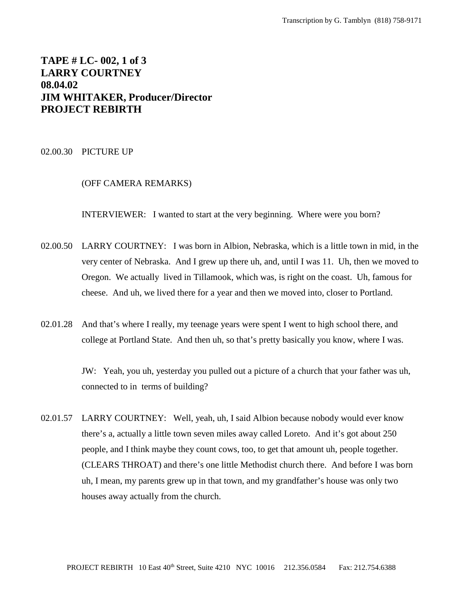# **TAPE # LC- 002, 1 of 3 LARRY COURTNEY 08.04.02 JIM WHITAKER, Producer/Director PROJECT REBIRTH**

02.00.30 PICTURE UP

## (OFF CAMERA REMARKS)

INTERVIEWER: I wanted to start at the very beginning. Where were you born?

- 02.00.50 LARRY COURTNEY: I was born in Albion, Nebraska, which is a little town in mid, in the very center of Nebraska. And I grew up there uh, and, until I was 11. Uh, then we moved to Oregon. We actually lived in Tillamook, which was, is right on the coast. Uh, famous for cheese. And uh, we lived there for a year and then we moved into, closer to Portland.
- 02.01.28 And that's where I really, my teenage years were spent I went to high school there, and college at Portland State. And then uh, so that's pretty basically you know, where I was.

JW: Yeah, you uh, yesterday you pulled out a picture of a church that your father was uh, connected to in terms of building?

02.01.57 LARRY COURTNEY: Well, yeah, uh, I said Albion because nobody would ever know there's a, actually a little town seven miles away called Loreto. And it's got about 250 people, and I think maybe they count cows, too, to get that amount uh, people together. (CLEARS THROAT) and there's one little Methodist church there. And before I was born uh, I mean, my parents grew up in that town, and my grandfather's house was only two houses away actually from the church.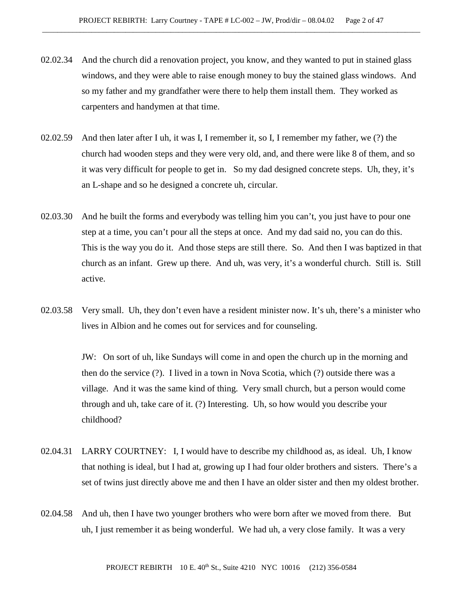- 02.02.34 And the church did a renovation project, you know, and they wanted to put in stained glass windows, and they were able to raise enough money to buy the stained glass windows. And so my father and my grandfather were there to help them install them. They worked as carpenters and handymen at that time.
- 02.02.59 And then later after I uh, it was I, I remember it, so I, I remember my father, we (?) the church had wooden steps and they were very old, and, and there were like 8 of them, and so it was very difficult for people to get in. So my dad designed concrete steps. Uh, they, it's an L-shape and so he designed a concrete uh, circular.
- 02.03.30 And he built the forms and everybody was telling him you can't, you just have to pour one step at a time, you can't pour all the steps at once. And my dad said no, you can do this. This is the way you do it. And those steps are still there. So. And then I was baptized in that church as an infant. Grew up there. And uh, was very, it's a wonderful church. Still is. Still active.
- 02.03.58 Very small. Uh, they don't even have a resident minister now. It's uh, there's a minister who lives in Albion and he comes out for services and for counseling.

JW: On sort of uh, like Sundays will come in and open the church up in the morning and then do the service (?). I lived in a town in Nova Scotia, which (?) outside there was a village. And it was the same kind of thing. Very small church, but a person would come through and uh, take care of it. (?) Interesting. Uh, so how would you describe your childhood?

- 02.04.31 LARRY COURTNEY: I, I would have to describe my childhood as, as ideal. Uh, I know that nothing is ideal, but I had at, growing up I had four older brothers and sisters. There's a set of twins just directly above me and then I have an older sister and then my oldest brother.
- 02.04.58 And uh, then I have two younger brothers who were born after we moved from there. But uh, I just remember it as being wonderful. We had uh, a very close family. It was a very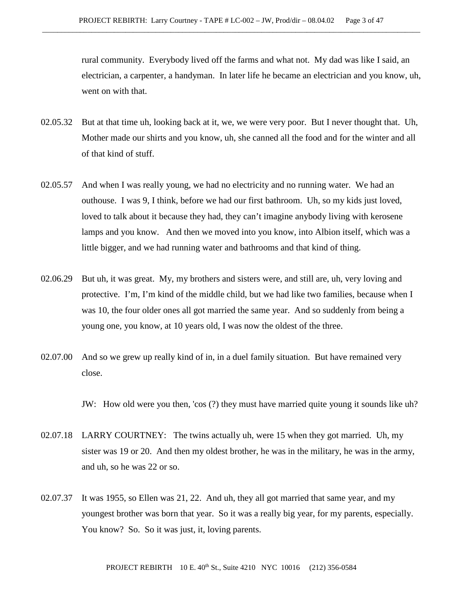rural community. Everybody lived off the farms and what not. My dad was like I said, an electrician, a carpenter, a handyman. In later life he became an electrician and you know, uh, went on with that.

- 02.05.32 But at that time uh, looking back at it, we, we were very poor. But I never thought that. Uh, Mother made our shirts and you know, uh, she canned all the food and for the winter and all of that kind of stuff.
- 02.05.57 And when I was really young, we had no electricity and no running water. We had an outhouse. I was 9, I think, before we had our first bathroom. Uh, so my kids just loved, loved to talk about it because they had, they can't imagine anybody living with kerosene lamps and you know. And then we moved into you know, into Albion itself, which was a little bigger, and we had running water and bathrooms and that kind of thing.
- 02.06.29 But uh, it was great. My, my brothers and sisters were, and still are, uh, very loving and protective. I'm, I'm kind of the middle child, but we had like two families, because when I was 10, the four older ones all got married the same year. And so suddenly from being a young one, you know, at 10 years old, I was now the oldest of the three.
- 02.07.00 And so we grew up really kind of in, in a duel family situation. But have remained very close.

JW: How old were you then, 'cos (?) they must have married quite young it sounds like uh?

- 02.07.18 LARRY COURTNEY: The twins actually uh, were 15 when they got married. Uh, my sister was 19 or 20. And then my oldest brother, he was in the military, he was in the army, and uh, so he was 22 or so.
- 02.07.37 It was 1955, so Ellen was 21, 22. And uh, they all got married that same year, and my youngest brother was born that year. So it was a really big year, for my parents, especially. You know? So. So it was just, it, loving parents.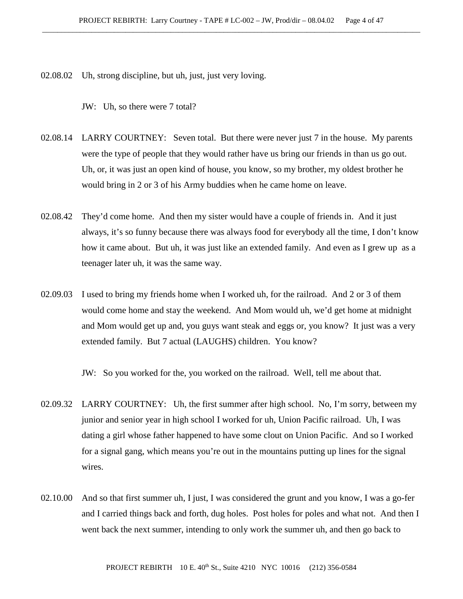02.08.02 Uh, strong discipline, but uh, just, just very loving.

JW: Uh, so there were 7 total?

02.08.14 LARRY COURTNEY: Seven total. But there were never just 7 in the house. My parents were the type of people that they would rather have us bring our friends in than us go out. Uh, or, it was just an open kind of house, you know, so my brother, my oldest brother he would bring in 2 or 3 of his Army buddies when he came home on leave.

- 02.08.42 They'd come home. And then my sister would have a couple of friends in. And it just always, it's so funny because there was always food for everybody all the time, I don't know how it came about. But uh, it was just like an extended family. And even as I grew up as a teenager later uh, it was the same way.
- 02.09.03 I used to bring my friends home when I worked uh, for the railroad. And 2 or 3 of them would come home and stay the weekend. And Mom would uh, we'd get home at midnight and Mom would get up and, you guys want steak and eggs or, you know? It just was a very extended family. But 7 actual (LAUGHS) children. You know?

JW: So you worked for the, you worked on the railroad. Well, tell me about that.

- 02.09.32 LARRY COURTNEY: Uh, the first summer after high school. No, I'm sorry, between my junior and senior year in high school I worked for uh, Union Pacific railroad. Uh, I was dating a girl whose father happened to have some clout on Union Pacific. And so I worked for a signal gang, which means you're out in the mountains putting up lines for the signal wires.
- 02.10.00 And so that first summer uh, I just, I was considered the grunt and you know, I was a go-fer and I carried things back and forth, dug holes. Post holes for poles and what not. And then I went back the next summer, intending to only work the summer uh, and then go back to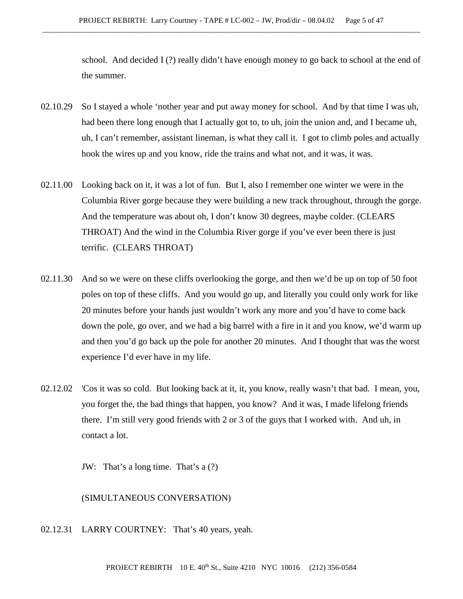school. And decided I (?) really didn't have enough money to go back to school at the end of the summer.

- 02.10.29 So I stayed a whole 'nother year and put away money for school. And by that time I was uh, had been there long enough that I actually got to, to uh, join the union and, and I became uh, uh, I can't remember, assistant lineman, is what they call it. I got to climb poles and actually hook the wires up and you know, ride the trains and what not, and it was, it was.
- 02.11.00 Looking back on it, it was a lot of fun. But I, also I remember one winter we were in the Columbia River gorge because they were building a new track throughout, through the gorge. And the temperature was about oh, I don't know 30 degrees, maybe colder. (CLEARS THROAT) And the wind in the Columbia River gorge if you've ever been there is just terrific. (CLEARS THROAT)
- 02.11.30 And so we were on these cliffs overlooking the gorge, and then we'd be up on top of 50 foot poles on top of these cliffs. And you would go up, and literally you could only work for like 20 minutes before your hands just wouldn't work any more and you'd have to come back down the pole, go over, and we had a big barrel with a fire in it and you know, we'd warm up and then you'd go back up the pole for another 20 minutes. And I thought that was the worst experience I'd ever have in my life.
- 02.12.02 'Cos it was so cold. But looking back at it, it, you know, really wasn't that bad. I mean, you, you forget the, the bad things that happen, you know? And it was, I made lifelong friends there. I'm still very good friends with 2 or 3 of the guys that I worked with. And uh, in contact a lot.

JW: That's a long time. That's a (?)

(SIMULTANEOUS CONVERSATION)

02.12.31 LARRY COURTNEY: That's 40 years, yeah.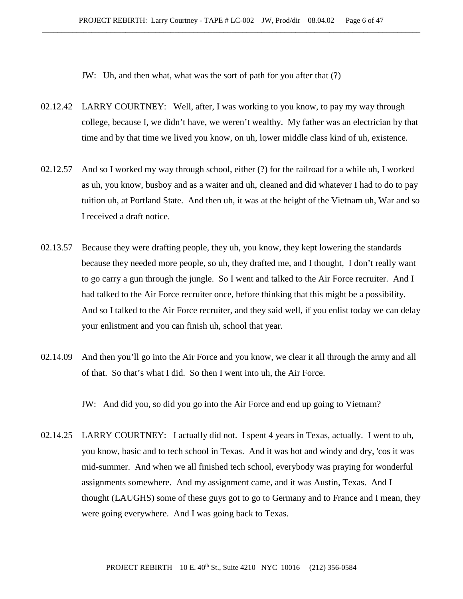JW: Uh, and then what, what was the sort of path for you after that (?)

- 02.12.42 LARRY COURTNEY: Well, after, I was working to you know, to pay my way through college, because I, we didn't have, we weren't wealthy. My father was an electrician by that time and by that time we lived you know, on uh, lower middle class kind of uh, existence.
- 02.12.57 And so I worked my way through school, either (?) for the railroad for a while uh, I worked as uh, you know, busboy and as a waiter and uh, cleaned and did whatever I had to do to pay tuition uh, at Portland State. And then uh, it was at the height of the Vietnam uh, War and so I received a draft notice.
- 02.13.57 Because they were drafting people, they uh, you know, they kept lowering the standards because they needed more people, so uh, they drafted me, and I thought, I don't really want to go carry a gun through the jungle. So I went and talked to the Air Force recruiter. And I had talked to the Air Force recruiter once, before thinking that this might be a possibility. And so I talked to the Air Force recruiter, and they said well, if you enlist today we can delay your enlistment and you can finish uh, school that year.
- 02.14.09 And then you'll go into the Air Force and you know, we clear it all through the army and all of that. So that's what I did. So then I went into uh, the Air Force.

JW: And did you, so did you go into the Air Force and end up going to Vietnam?

02.14.25 LARRY COURTNEY: I actually did not. I spent 4 years in Texas, actually. I went to uh, you know, basic and to tech school in Texas. And it was hot and windy and dry, 'cos it was mid-summer. And when we all finished tech school, everybody was praying for wonderful assignments somewhere. And my assignment came, and it was Austin, Texas. And I thought (LAUGHS) some of these guys got to go to Germany and to France and I mean, they were going everywhere. And I was going back to Texas.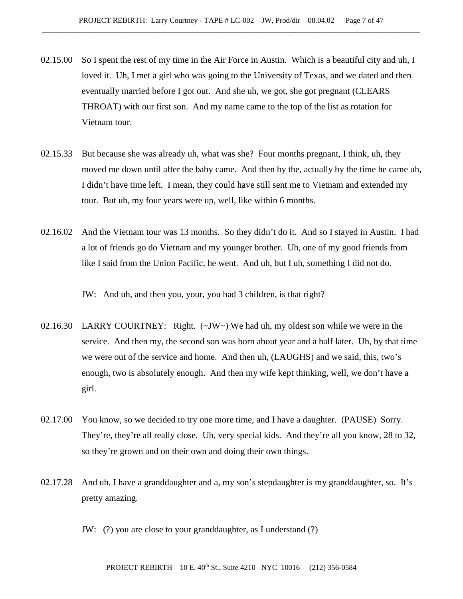- 02.15.00 So I spent the rest of my time in the Air Force in Austin. Which is a beautiful city and uh, I loved it. Uh, I met a girl who was going to the University of Texas, and we dated and then eventually married before I got out. And she uh, we got, she got pregnant (CLEARS THROAT) with our first son. And my name came to the top of the list as rotation for Vietnam tour.
- 02.15.33 But because she was already uh, what was she? Four months pregnant, I think, uh, they moved me down until after the baby came. And then by the, actually by the time he came uh, I didn't have time left. I mean, they could have still sent me to Vietnam and extended my tour. But uh, my four years were up, well, like within 6 months.
- 02.16.02 And the Vietnam tour was 13 months. So they didn't do it. And so I stayed in Austin. I had a lot of friends go do Vietnam and my younger brother. Uh, one of my good friends from like I said from the Union Pacific, he went. And uh, but I uh, something I did not do.

JW: And uh, and then you, your, you had 3 children, is that right?

- 02.16.30 LARRY COURTNEY: Right. (~JW~) We had uh, my oldest son while we were in the service. And then my, the second son was born about year and a half later. Uh, by that time we were out of the service and home. And then uh, (LAUGHS) and we said, this, two's enough, two is absolutely enough. And then my wife kept thinking, well, we don't have a girl.
- 02.17.00 You know, so we decided to try one more time, and I have a daughter. (PAUSE) Sorry. They're, they're all really close. Uh, very special kids. And they're all you know, 28 to 32, so they're grown and on their own and doing their own things.
- 02.17.28 And uh, I have a granddaughter and a, my son's stepdaughter is my granddaughter, so. It's pretty amazing.

JW: (?) you are close to your granddaughter, as I understand (?)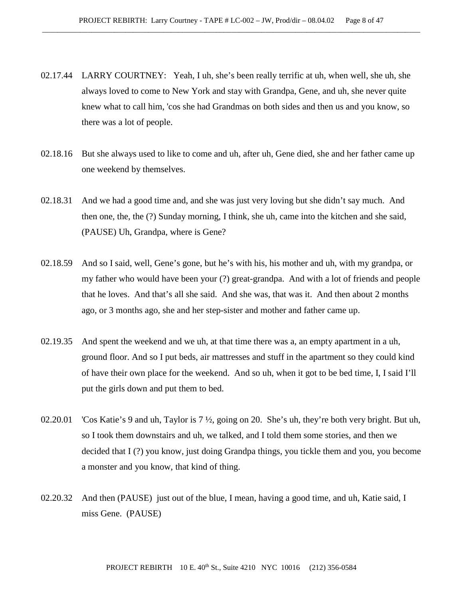- 02.17.44 LARRY COURTNEY: Yeah, I uh, she's been really terrific at uh, when well, she uh, she always loved to come to New York and stay with Grandpa, Gene, and uh, she never quite knew what to call him, 'cos she had Grandmas on both sides and then us and you know, so there was a lot of people.
- 02.18.16 But she always used to like to come and uh, after uh, Gene died, she and her father came up one weekend by themselves.
- 02.18.31 And we had a good time and, and she was just very loving but she didn't say much. And then one, the, the (?) Sunday morning, I think, she uh, came into the kitchen and she said, (PAUSE) Uh, Grandpa, where is Gene?
- 02.18.59 And so I said, well, Gene's gone, but he's with his, his mother and uh, with my grandpa, or my father who would have been your (?) great-grandpa. And with a lot of friends and people that he loves. And that's all she said. And she was, that was it. And then about 2 months ago, or 3 months ago, she and her step-sister and mother and father came up.
- 02.19.35 And spent the weekend and we uh, at that time there was a, an empty apartment in a uh, ground floor. And so I put beds, air mattresses and stuff in the apartment so they could kind of have their own place for the weekend. And so uh, when it got to be bed time, I, I said I'll put the girls down and put them to bed.
- 02.20.01 'Cos Katie's 9 and uh, Taylor is 7 ½, going on 20. She's uh, they're both very bright. But uh, so I took them downstairs and uh, we talked, and I told them some stories, and then we decided that I (?) you know, just doing Grandpa things, you tickle them and you, you become a monster and you know, that kind of thing.
- 02.20.32 And then (PAUSE) just out of the blue, I mean, having a good time, and uh, Katie said, I miss Gene. (PAUSE)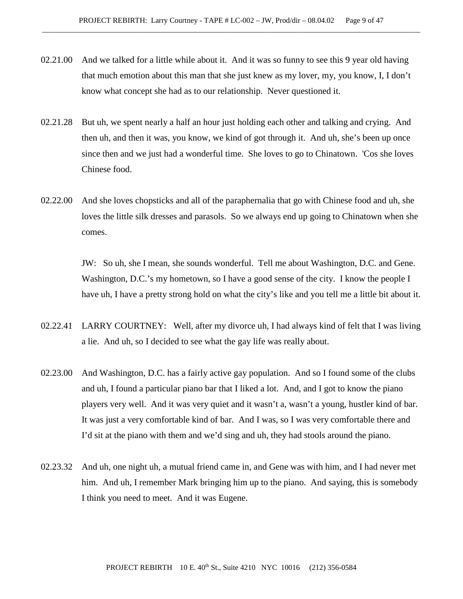- 02.21.00 And we talked for a little while about it. And it was so funny to see this 9 year old having that much emotion about this man that she just knew as my lover, my, you know, I, I don't know what concept she had as to our relationship. Never questioned it.
- 02.21.28 But uh, we spent nearly a half an hour just holding each other and talking and crying. And then uh, and then it was, you know, we kind of got through it. And uh, she's been up once since then and we just had a wonderful time. She loves to go to Chinatown. 'Cos she loves Chinese food.
- 02.22.00 And she loves chopsticks and all of the paraphernalia that go with Chinese food and uh, she loves the little silk dresses and parasols. So we always end up going to Chinatown when she comes.

JW: So uh, she I mean, she sounds wonderful. Tell me about Washington, D.C. and Gene. Washington, D.C.'s my hometown, so I have a good sense of the city. I know the people I have uh, I have a pretty strong hold on what the city's like and you tell me a little bit about it.

- 02.22.41 LARRY COURTNEY: Well, after my divorce uh, I had always kind of felt that I was living a lie. And uh, so I decided to see what the gay life was really about.
- 02.23.00 And Washington, D.C. has a fairly active gay population. And so I found some of the clubs and uh, I found a particular piano bar that I liked a lot. And, and I got to know the piano players very well. And it was very quiet and it wasn't a, wasn't a young, hustler kind of bar. It was just a very comfortable kind of bar. And I was, so I was very comfortable there and I'd sit at the piano with them and we'd sing and uh, they had stools around the piano.
- 02.23.32 And uh, one night uh, a mutual friend came in, and Gene was with him, and I had never met him. And uh, I remember Mark bringing him up to the piano. And saying, this is somebody I think you need to meet. And it was Eugene.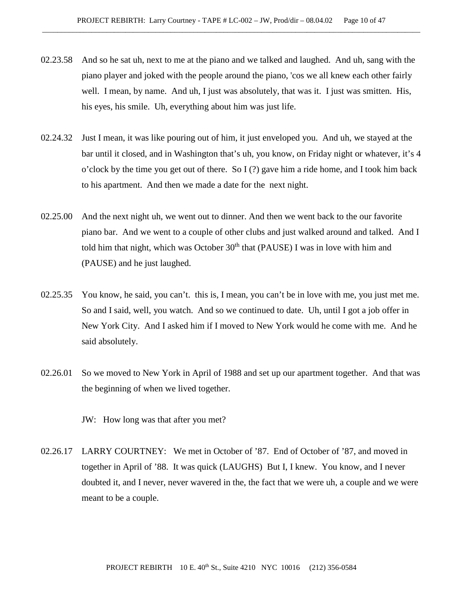- 02.23.58 And so he sat uh, next to me at the piano and we talked and laughed. And uh, sang with the piano player and joked with the people around the piano, 'cos we all knew each other fairly well. I mean, by name. And uh, I just was absolutely, that was it. I just was smitten. His, his eyes, his smile. Uh, everything about him was just life.
- 02.24.32 Just I mean, it was like pouring out of him, it just enveloped you. And uh, we stayed at the bar until it closed, and in Washington that's uh, you know, on Friday night or whatever, it's 4 o'clock by the time you get out of there. So I (?) gave him a ride home, and I took him back to his apartment. And then we made a date for the next night.
- 02.25.00 And the next night uh, we went out to dinner. And then we went back to the our favorite piano bar. And we went to a couple of other clubs and just walked around and talked. And I told him that night, which was October  $30<sup>th</sup>$  that (PAUSE) I was in love with him and (PAUSE) and he just laughed.
- 02.25.35 You know, he said, you can't. this is, I mean, you can't be in love with me, you just met me. So and I said, well, you watch. And so we continued to date. Uh, until I got a job offer in New York City. And I asked him if I moved to New York would he come with me. And he said absolutely.
- 02.26.01 So we moved to New York in April of 1988 and set up our apartment together. And that was the beginning of when we lived together.

JW: How long was that after you met?

02.26.17 LARRY COURTNEY: We met in October of '87. End of October of '87, and moved in together in April of '88. It was quick (LAUGHS) But I, I knew. You know, and I never doubted it, and I never, never wavered in the, the fact that we were uh, a couple and we were meant to be a couple.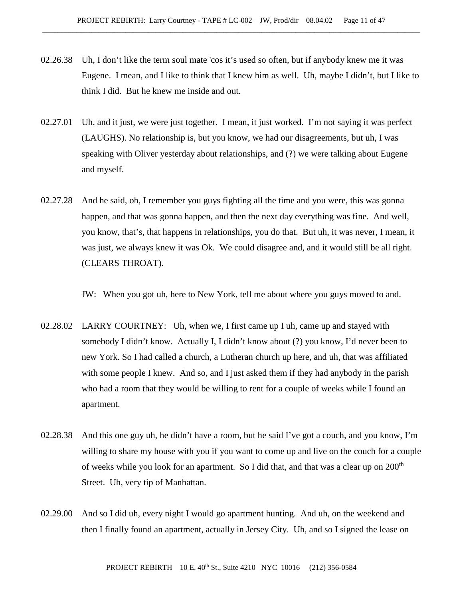- 02.26.38 Uh, I don't like the term soul mate 'cos it's used so often, but if anybody knew me it was Eugene. I mean, and I like to think that I knew him as well. Uh, maybe I didn't, but I like to think I did. But he knew me inside and out.
- 02.27.01 Uh, and it just, we were just together. I mean, it just worked. I'm not saying it was perfect (LAUGHS). No relationship is, but you know, we had our disagreements, but uh, I was speaking with Oliver yesterday about relationships, and (?) we were talking about Eugene and myself.
- 02.27.28 And he said, oh, I remember you guys fighting all the time and you were, this was gonna happen, and that was gonna happen, and then the next day everything was fine. And well, you know, that's, that happens in relationships, you do that. But uh, it was never, I mean, it was just, we always knew it was Ok. We could disagree and, and it would still be all right. (CLEARS THROAT).

JW: When you got uh, here to New York, tell me about where you guys moved to and.

- 02.28.02 LARRY COURTNEY: Uh, when we, I first came up I uh, came up and stayed with somebody I didn't know. Actually I, I didn't know about (?) you know, I'd never been to new York. So I had called a church, a Lutheran church up here, and uh, that was affiliated with some people I knew. And so, and I just asked them if they had anybody in the parish who had a room that they would be willing to rent for a couple of weeks while I found an apartment.
- 02.28.38 And this one guy uh, he didn't have a room, but he said I've got a couch, and you know, I'm willing to share my house with you if you want to come up and live on the couch for a couple of weeks while you look for an apartment. So I did that, and that was a clear up on  $200<sup>th</sup>$ Street. Uh, very tip of Manhattan.
- 02.29.00 And so I did uh, every night I would go apartment hunting. And uh, on the weekend and then I finally found an apartment, actually in Jersey City. Uh, and so I signed the lease on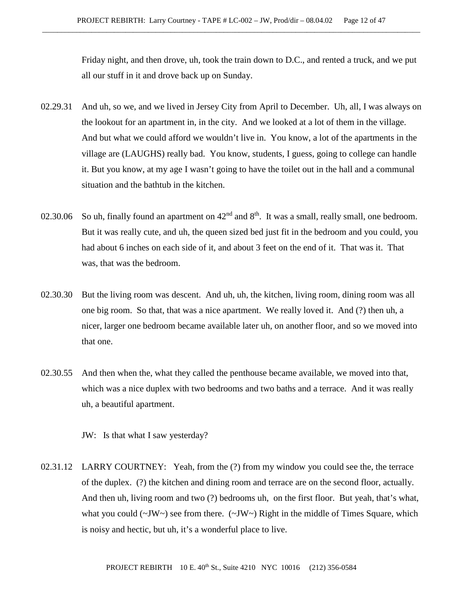Friday night, and then drove, uh, took the train down to D.C., and rented a truck, and we put all our stuff in it and drove back up on Sunday.

- 02.29.31 And uh, so we, and we lived in Jersey City from April to December. Uh, all, I was always on the lookout for an apartment in, in the city. And we looked at a lot of them in the village. And but what we could afford we wouldn't live in. You know, a lot of the apartments in the village are (LAUGHS) really bad. You know, students, I guess, going to college can handle it. But you know, at my age I wasn't going to have the toilet out in the hall and a communal situation and the bathtub in the kitchen.
- 02.30.06 So uh, finally found an apartment on  $42<sup>nd</sup>$  and  $8<sup>th</sup>$ . It was a small, really small, one bedroom. But it was really cute, and uh, the queen sized bed just fit in the bedroom and you could, you had about 6 inches on each side of it, and about 3 feet on the end of it. That was it. That was, that was the bedroom.
- 02.30.30 But the living room was descent. And uh, uh, the kitchen, living room, dining room was all one big room. So that, that was a nice apartment. We really loved it. And (?) then uh, a nicer, larger one bedroom became available later uh, on another floor, and so we moved into that one.
- 02.30.55 And then when the, what they called the penthouse became available, we moved into that, which was a nice duplex with two bedrooms and two baths and a terrace. And it was really uh, a beautiful apartment.

JW: Is that what I saw yesterday?

02.31.12 LARRY COURTNEY: Yeah, from the (?) from my window you could see the, the terrace of the duplex. (?) the kitchen and dining room and terrace are on the second floor, actually. And then uh, living room and two (?) bedrooms uh, on the first floor. But yeah, that's what, what you could  $(\sim JW)$  see from there.  $(\sim JW)$  Right in the middle of Times Square, which is noisy and hectic, but uh, it's a wonderful place to live.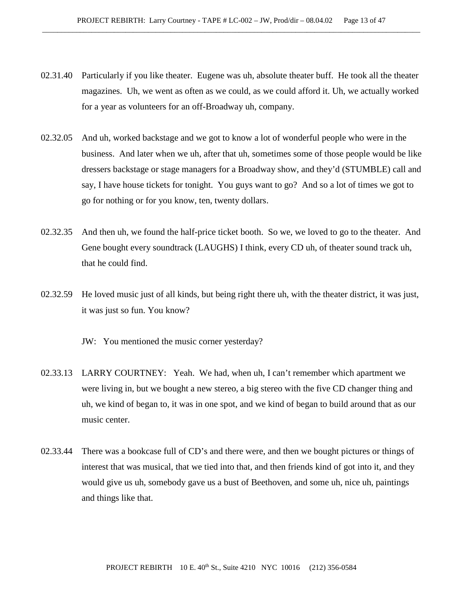- 02.31.40 Particularly if you like theater. Eugene was uh, absolute theater buff. He took all the theater magazines. Uh, we went as often as we could, as we could afford it. Uh, we actually worked for a year as volunteers for an off-Broadway uh, company.
- 02.32.05 And uh, worked backstage and we got to know a lot of wonderful people who were in the business. And later when we uh, after that uh, sometimes some of those people would be like dressers backstage or stage managers for a Broadway show, and they'd (STUMBLE) call and say, I have house tickets for tonight. You guys want to go? And so a lot of times we got to go for nothing or for you know, ten, twenty dollars.
- 02.32.35 And then uh, we found the half-price ticket booth. So we, we loved to go to the theater. And Gene bought every soundtrack (LAUGHS) I think, every CD uh, of theater sound track uh, that he could find.
- 02.32.59 He loved music just of all kinds, but being right there uh, with the theater district, it was just, it was just so fun. You know?
	- JW: You mentioned the music corner yesterday?
- 02.33.13 LARRY COURTNEY: Yeah. We had, when uh, I can't remember which apartment we were living in, but we bought a new stereo, a big stereo with the five CD changer thing and uh, we kind of began to, it was in one spot, and we kind of began to build around that as our music center.
- 02.33.44 There was a bookcase full of CD's and there were, and then we bought pictures or things of interest that was musical, that we tied into that, and then friends kind of got into it, and they would give us uh, somebody gave us a bust of Beethoven, and some uh, nice uh, paintings and things like that.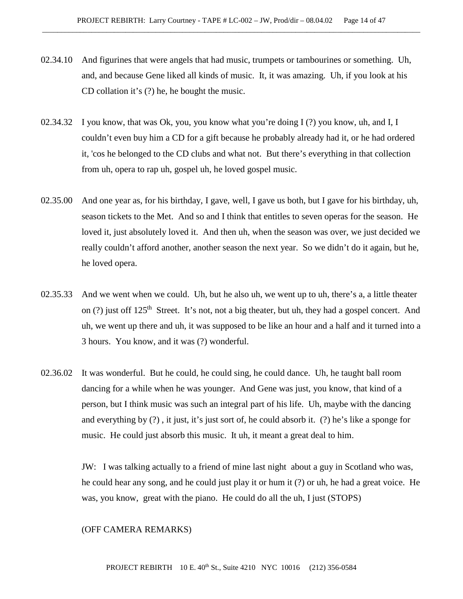- 02.34.10 And figurines that were angels that had music, trumpets or tambourines or something. Uh, and, and because Gene liked all kinds of music. It, it was amazing. Uh, if you look at his CD collation it's (?) he, he bought the music.
- 02.34.32 I you know, that was Ok, you, you know what you're doing I (?) you know, uh, and I, I couldn't even buy him a CD for a gift because he probably already had it, or he had ordered it, 'cos he belonged to the CD clubs and what not. But there's everything in that collection from uh, opera to rap uh, gospel uh, he loved gospel music.
- 02.35.00 And one year as, for his birthday, I gave, well, I gave us both, but I gave for his birthday, uh, season tickets to the Met. And so and I think that entitles to seven operas for the season. He loved it, just absolutely loved it. And then uh, when the season was over, we just decided we really couldn't afford another, another season the next year. So we didn't do it again, but he, he loved opera.
- 02.35.33 And we went when we could. Uh, but he also uh, we went up to uh, there's a, a little theater on (?) just off 125<sup>th</sup> Street. It's not, not a big theater, but uh, they had a gospel concert. And uh, we went up there and uh, it was supposed to be like an hour and a half and it turned into a 3 hours. You know, and it was (?) wonderful.
- 02.36.02 It was wonderful. But he could, he could sing, he could dance. Uh, he taught ball room dancing for a while when he was younger. And Gene was just, you know, that kind of a person, but I think music was such an integral part of his life. Uh, maybe with the dancing and everything by (?) , it just, it's just sort of, he could absorb it. (?) he's like a sponge for music. He could just absorb this music. It uh, it meant a great deal to him.

JW: I was talking actually to a friend of mine last night about a guy in Scotland who was, he could hear any song, and he could just play it or hum it (?) or uh, he had a great voice. He was, you know, great with the piano. He could do all the uh, I just (STOPS)

#### (OFF CAMERA REMARKS)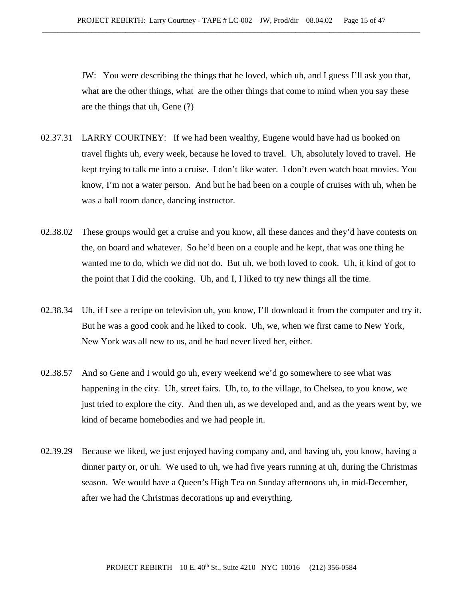JW: You were describing the things that he loved, which uh, and I guess I'll ask you that, what are the other things, what are the other things that come to mind when you say these are the things that uh, Gene (?)

- 02.37.31 LARRY COURTNEY: If we had been wealthy, Eugene would have had us booked on travel flights uh, every week, because he loved to travel. Uh, absolutely loved to travel. He kept trying to talk me into a cruise. I don't like water. I don't even watch boat movies. You know, I'm not a water person. And but he had been on a couple of cruises with uh, when he was a ball room dance, dancing instructor.
- 02.38.02 These groups would get a cruise and you know, all these dances and they'd have contests on the, on board and whatever. So he'd been on a couple and he kept, that was one thing he wanted me to do, which we did not do. But uh, we both loved to cook. Uh, it kind of got to the point that I did the cooking. Uh, and I, I liked to try new things all the time.
- 02.38.34 Uh, if I see a recipe on television uh, you know, I'll download it from the computer and try it. But he was a good cook and he liked to cook. Uh, we, when we first came to New York, New York was all new to us, and he had never lived her, either.
- 02.38.57 And so Gene and I would go uh, every weekend we'd go somewhere to see what was happening in the city. Uh, street fairs. Uh, to, to the village, to Chelsea, to you know, we just tried to explore the city. And then uh, as we developed and, and as the years went by, we kind of became homebodies and we had people in.
- 02.39.29 Because we liked, we just enjoyed having company and, and having uh, you know, having a dinner party or, or uh. We used to uh, we had five years running at uh, during the Christmas season. We would have a Queen's High Tea on Sunday afternoons uh, in mid-December, after we had the Christmas decorations up and everything.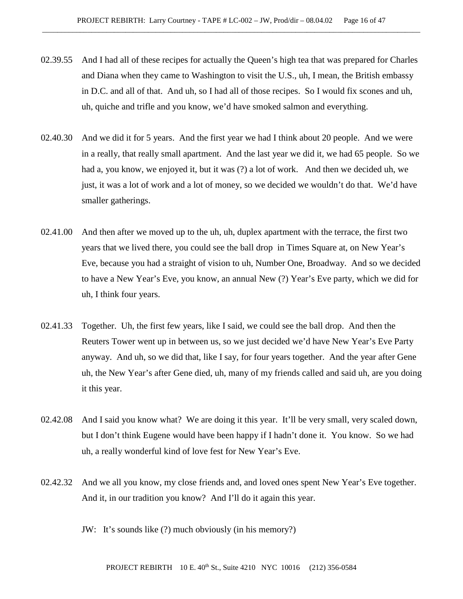- 02.39.55 And I had all of these recipes for actually the Queen's high tea that was prepared for Charles and Diana when they came to Washington to visit the U.S., uh, I mean, the British embassy in D.C. and all of that. And uh, so I had all of those recipes. So I would fix scones and uh, uh, quiche and trifle and you know, we'd have smoked salmon and everything.
- 02.40.30 And we did it for 5 years. And the first year we had I think about 20 people. And we were in a really, that really small apartment. And the last year we did it, we had 65 people. So we had a, you know, we enjoyed it, but it was (?) a lot of work. And then we decided uh, we just, it was a lot of work and a lot of money, so we decided we wouldn't do that. We'd have smaller gatherings.
- 02.41.00 And then after we moved up to the uh, uh, duplex apartment with the terrace, the first two years that we lived there, you could see the ball drop in Times Square at, on New Year's Eve, because you had a straight of vision to uh, Number One, Broadway. And so we decided to have a New Year's Eve, you know, an annual New (?) Year's Eve party, which we did for uh, I think four years.
- 02.41.33 Together. Uh, the first few years, like I said, we could see the ball drop. And then the Reuters Tower went up in between us, so we just decided we'd have New Year's Eve Party anyway. And uh, so we did that, like I say, for four years together. And the year after Gene uh, the New Year's after Gene died, uh, many of my friends called and said uh, are you doing it this year.
- 02.42.08 And I said you know what? We are doing it this year. It'll be very small, very scaled down, but I don't think Eugene would have been happy if I hadn't done it. You know. So we had uh, a really wonderful kind of love fest for New Year's Eve.
- 02.42.32 And we all you know, my close friends and, and loved ones spent New Year's Eve together. And it, in our tradition you know? And I'll do it again this year.

JW: It's sounds like (?) much obviously (in his memory?)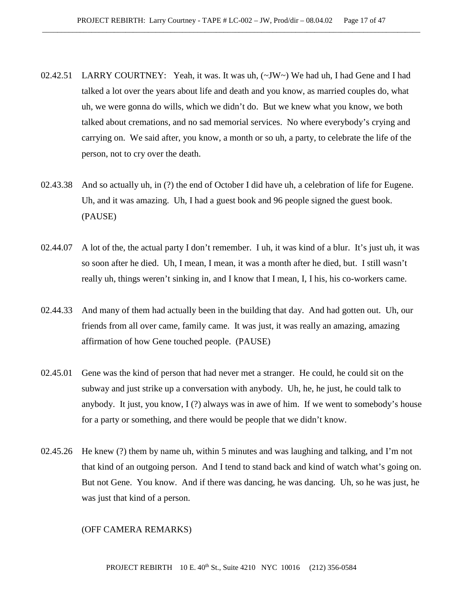- 02.42.51 LARRY COURTNEY: Yeah, it was. It was uh,  $(\sim JW \sim)$  We had uh, I had Gene and I had talked a lot over the years about life and death and you know, as married couples do, what uh, we were gonna do wills, which we didn't do. But we knew what you know, we both talked about cremations, and no sad memorial services. No where everybody's crying and carrying on. We said after, you know, a month or so uh, a party, to celebrate the life of the person, not to cry over the death.
- 02.43.38 And so actually uh, in (?) the end of October I did have uh, a celebration of life for Eugene. Uh, and it was amazing. Uh, I had a guest book and 96 people signed the guest book. (PAUSE)
- 02.44.07 A lot of the, the actual party I don't remember. I uh, it was kind of a blur. It's just uh, it was so soon after he died. Uh, I mean, I mean, it was a month after he died, but. I still wasn't really uh, things weren't sinking in, and I know that I mean, I, I his, his co-workers came.
- 02.44.33 And many of them had actually been in the building that day. And had gotten out. Uh, our friends from all over came, family came. It was just, it was really an amazing, amazing affirmation of how Gene touched people. (PAUSE)
- 02.45.01 Gene was the kind of person that had never met a stranger. He could, he could sit on the subway and just strike up a conversation with anybody. Uh, he, he just, he could talk to anybody. It just, you know,  $I(?)$  always was in awe of him. If we went to somebody's house for a party or something, and there would be people that we didn't know.
- 02.45.26 He knew (?) them by name uh, within 5 minutes and was laughing and talking, and I'm not that kind of an outgoing person. And I tend to stand back and kind of watch what's going on. But not Gene. You know. And if there was dancing, he was dancing. Uh, so he was just, he was just that kind of a person.

#### (OFF CAMERA REMARKS)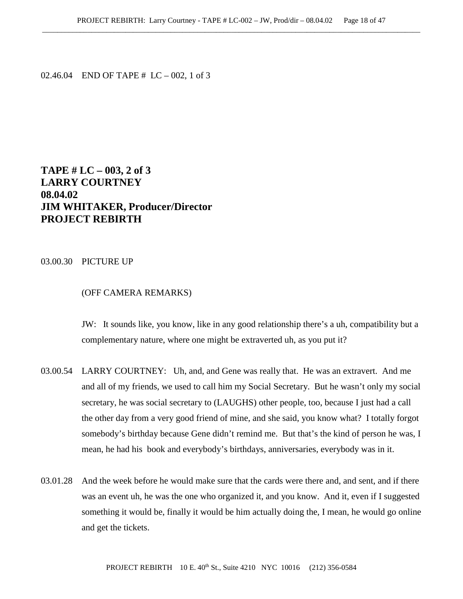02.46.04 END OF TAPE # LC – 002, 1 of 3

# **TAPE # LC – 003, 2 of 3 LARRY COURTNEY 08.04.02 JIM WHITAKER, Producer/Director PROJECT REBIRTH**

### 03.00.30 PICTURE UP

## (OFF CAMERA REMARKS)

JW: It sounds like, you know, like in any good relationship there's a uh, compatibility but a complementary nature, where one might be extraverted uh, as you put it?

- 03.00.54 LARRY COURTNEY: Uh, and, and Gene was really that. He was an extravert. And me and all of my friends, we used to call him my Social Secretary. But he wasn't only my social secretary, he was social secretary to (LAUGHS) other people, too, because I just had a call the other day from a very good friend of mine, and she said, you know what? I totally forgot somebody's birthday because Gene didn't remind me. But that's the kind of person he was, I mean, he had his book and everybody's birthdays, anniversaries, everybody was in it.
- 03.01.28 And the week before he would make sure that the cards were there and, and sent, and if there was an event uh, he was the one who organized it, and you know. And it, even if I suggested something it would be, finally it would be him actually doing the, I mean, he would go online and get the tickets.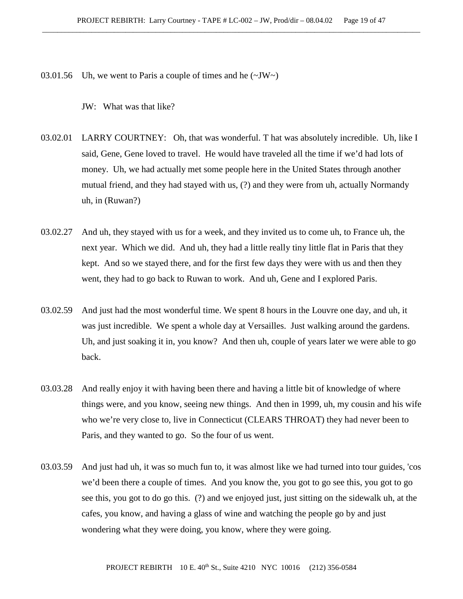03.01.56 Uh, we went to Paris a couple of times and he  $(\sim JW)$ 

JW: What was that like?

- 03.02.01 LARRY COURTNEY: Oh, that was wonderful. T hat was absolutely incredible. Uh, like I said, Gene, Gene loved to travel. He would have traveled all the time if we'd had lots of money. Uh, we had actually met some people here in the United States through another mutual friend, and they had stayed with us, (?) and they were from uh, actually Normandy uh, in (Ruwan?)
- 03.02.27 And uh, they stayed with us for a week, and they invited us to come uh, to France uh, the next year. Which we did. And uh, they had a little really tiny little flat in Paris that they kept. And so we stayed there, and for the first few days they were with us and then they went, they had to go back to Ruwan to work. And uh, Gene and I explored Paris.
- 03.02.59 And just had the most wonderful time. We spent 8 hours in the Louvre one day, and uh, it was just incredible. We spent a whole day at Versailles. Just walking around the gardens. Uh, and just soaking it in, you know? And then uh, couple of years later we were able to go back.
- 03.03.28 And really enjoy it with having been there and having a little bit of knowledge of where things were, and you know, seeing new things. And then in 1999, uh, my cousin and his wife who we're very close to, live in Connecticut (CLEARS THROAT) they had never been to Paris, and they wanted to go. So the four of us went.
- 03.03.59 And just had uh, it was so much fun to, it was almost like we had turned into tour guides, 'cos we'd been there a couple of times. And you know the, you got to go see this, you got to go see this, you got to do go this. (?) and we enjoyed just, just sitting on the sidewalk uh, at the cafes, you know, and having a glass of wine and watching the people go by and just wondering what they were doing, you know, where they were going.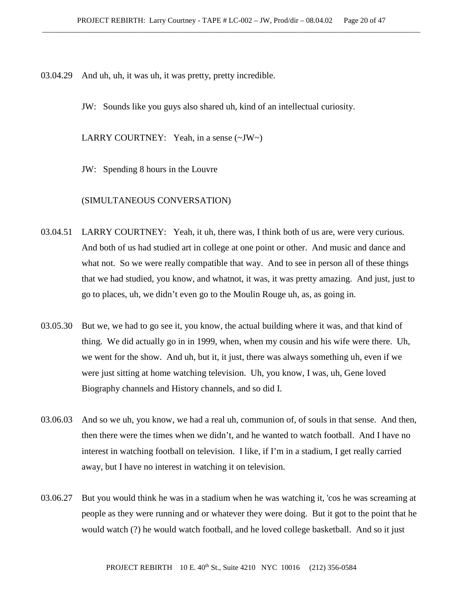03.04.29 And uh, uh, it was uh, it was pretty, pretty incredible.

JW: Sounds like you guys also shared uh, kind of an intellectual curiosity.

LARRY COURTNEY: Yeah, in a sense (~JW~)

JW: Spending 8 hours in the Louvre

(SIMULTANEOUS CONVERSATION)

- 03.04.51 LARRY COURTNEY: Yeah, it uh, there was, I think both of us are, were very curious. And both of us had studied art in college at one point or other. And music and dance and what not. So we were really compatible that way. And to see in person all of these things that we had studied, you know, and whatnot, it was, it was pretty amazing. And just, just to go to places, uh, we didn't even go to the Moulin Rouge uh, as, as going in.
- 03.05.30 But we, we had to go see it, you know, the actual building where it was, and that kind of thing. We did actually go in in 1999, when, when my cousin and his wife were there. Uh, we went for the show. And uh, but it, it just, there was always something uh, even if we were just sitting at home watching television. Uh, you know, I was, uh, Gene loved Biography channels and History channels, and so did I.
- 03.06.03 And so we uh, you know, we had a real uh, communion of, of souls in that sense. And then, then there were the times when we didn't, and he wanted to watch football. And I have no interest in watching football on television. I like, if I'm in a stadium, I get really carried away, but I have no interest in watching it on television.
- 03.06.27 But you would think he was in a stadium when he was watching it, 'cos he was screaming at people as they were running and or whatever they were doing. But it got to the point that he would watch (?) he would watch football, and he loved college basketball. And so it just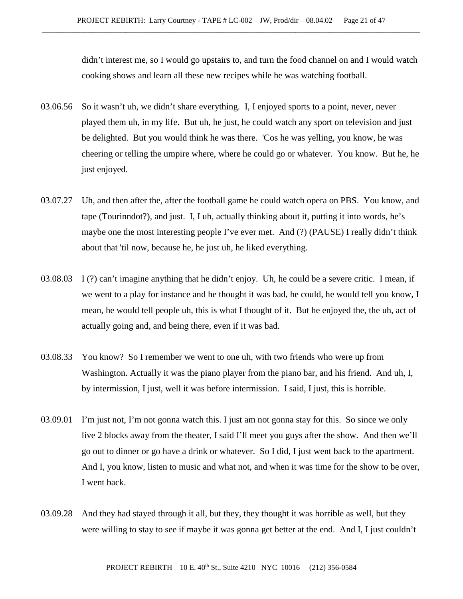didn't interest me, so I would go upstairs to, and turn the food channel on and I would watch cooking shows and learn all these new recipes while he was watching football.

- 03.06.56 So it wasn't uh, we didn't share everything. I, I enjoyed sports to a point, never, never played them uh, in my life. But uh, he just, he could watch any sport on television and just be delighted. But you would think he was there. 'Cos he was yelling, you know, he was cheering or telling the umpire where, where he could go or whatever. You know. But he, he just enjoyed.
- 03.07.27 Uh, and then after the, after the football game he could watch opera on PBS. You know, and tape (Tourinndot?), and just. I, I uh, actually thinking about it, putting it into words, he's maybe one the most interesting people I've ever met. And (?) (PAUSE) I really didn't think about that 'til now, because he, he just uh, he liked everything.
- 03.08.03 I (?) can't imagine anything that he didn't enjoy. Uh, he could be a severe critic. I mean, if we went to a play for instance and he thought it was bad, he could, he would tell you know, I mean, he would tell people uh, this is what I thought of it. But he enjoyed the, the uh, act of actually going and, and being there, even if it was bad.
- 03.08.33 You know? So I remember we went to one uh, with two friends who were up from Washington. Actually it was the piano player from the piano bar, and his friend. And uh, I, by intermission, I just, well it was before intermission. I said, I just, this is horrible.
- 03.09.01 I'm just not, I'm not gonna watch this. I just am not gonna stay for this. So since we only live 2 blocks away from the theater, I said I'll meet you guys after the show. And then we'll go out to dinner or go have a drink or whatever. So I did, I just went back to the apartment. And I, you know, listen to music and what not, and when it was time for the show to be over, I went back.
- 03.09.28 And they had stayed through it all, but they, they thought it was horrible as well, but they were willing to stay to see if maybe it was gonna get better at the end. And I, I just couldn't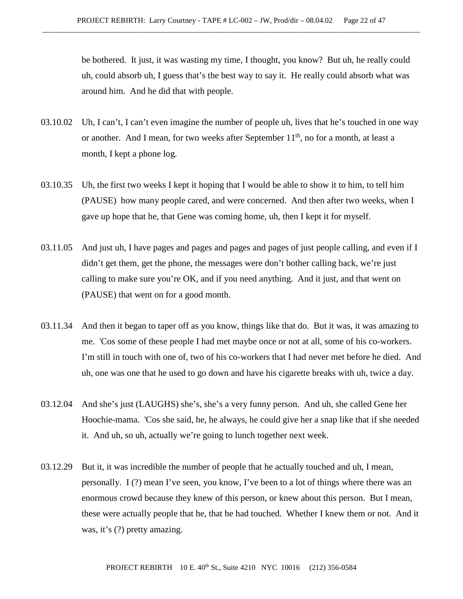be bothered. It just, it was wasting my time, I thought, you know? But uh, he really could uh, could absorb uh, I guess that's the best way to say it. He really could absorb what was around him. And he did that with people.

- 03.10.02 Uh, I can't, I can't even imagine the number of people uh, lives that he's touched in one way or another. And I mean, for two weeks after September  $11<sup>th</sup>$ , no for a month, at least a month, I kept a phone log.
- 03.10.35 Uh, the first two weeks I kept it hoping that I would be able to show it to him, to tell him (PAUSE) how many people cared, and were concerned. And then after two weeks, when I gave up hope that he, that Gene was coming home, uh, then I kept it for myself.
- 03.11.05 And just uh, I have pages and pages and pages and pages of just people calling, and even if I didn't get them, get the phone, the messages were don't bother calling back, we're just calling to make sure you're OK, and if you need anything. And it just, and that went on (PAUSE) that went on for a good month.
- 03.11.34 And then it began to taper off as you know, things like that do. But it was, it was amazing to me. 'Cos some of these people I had met maybe once or not at all, some of his co-workers. I'm still in touch with one of, two of his co-workers that I had never met before he died. And uh, one was one that he used to go down and have his cigarette breaks with uh, twice a day.
- 03.12.04 And she's just (LAUGHS) she's, she's a very funny person. And uh, she called Gene her Hoochie-mama. 'Cos she said, he, he always, he could give her a snap like that if she needed it. And uh, so uh, actually we're going to lunch together next week.
- 03.12.29 But it, it was incredible the number of people that he actually touched and uh, I mean, personally. I (?) mean I've seen, you know, I've been to a lot of things where there was an enormous crowd because they knew of this person, or knew about this person. But I mean, these were actually people that he, that he had touched. Whether I knew them or not. And it was, it's (?) pretty amazing.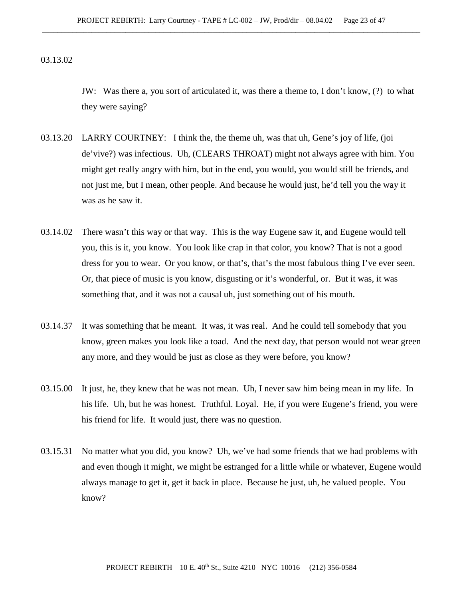03.13.02

JW: Was there a, you sort of articulated it, was there a theme to, I don't know, (?) to what they were saying?

- 03.13.20 LARRY COURTNEY: I think the, the theme uh, was that uh, Gene's joy of life, (joi de'vive?) was infectious. Uh, (CLEARS THROAT) might not always agree with him. You might get really angry with him, but in the end, you would, you would still be friends, and not just me, but I mean, other people. And because he would just, he'd tell you the way it was as he saw it.
- 03.14.02 There wasn't this way or that way. This is the way Eugene saw it, and Eugene would tell you, this is it, you know. You look like crap in that color, you know? That is not a good dress for you to wear. Or you know, or that's, that's the most fabulous thing I've ever seen. Or, that piece of music is you know, disgusting or it's wonderful, or. But it was, it was something that, and it was not a causal uh, just something out of his mouth.
- 03.14.37 It was something that he meant. It was, it was real. And he could tell somebody that you know, green makes you look like a toad. And the next day, that person would not wear green any more, and they would be just as close as they were before, you know?
- 03.15.00 It just, he, they knew that he was not mean. Uh, I never saw him being mean in my life. In his life. Uh, but he was honest. Truthful. Loyal. He, if you were Eugene's friend, you were his friend for life. It would just, there was no question.
- 03.15.31 No matter what you did, you know? Uh, we've had some friends that we had problems with and even though it might, we might be estranged for a little while or whatever, Eugene would always manage to get it, get it back in place. Because he just, uh, he valued people. You know?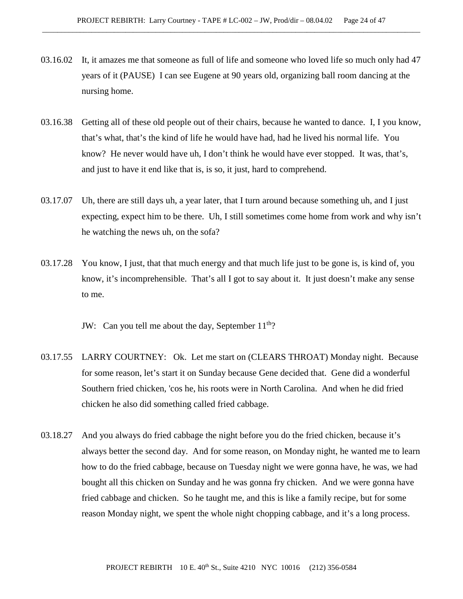- 03.16.02 It, it amazes me that someone as full of life and someone who loved life so much only had 47 years of it (PAUSE) I can see Eugene at 90 years old, organizing ball room dancing at the nursing home.
- 03.16.38 Getting all of these old people out of their chairs, because he wanted to dance. I, I you know, that's what, that's the kind of life he would have had, had he lived his normal life. You know? He never would have uh, I don't think he would have ever stopped. It was, that's, and just to have it end like that is, is so, it just, hard to comprehend.
- 03.17.07 Uh, there are still days uh, a year later, that I turn around because something uh, and I just expecting, expect him to be there. Uh, I still sometimes come home from work and why isn't he watching the news uh, on the sofa?
- 03.17.28 You know, I just, that that much energy and that much life just to be gone is, is kind of, you know, it's incomprehensible. That's all I got to say about it. It just doesn't make any sense to me.

JW: Can you tell me about the day, September  $11<sup>th</sup>$ ?

- 03.17.55 LARRY COURTNEY: Ok. Let me start on (CLEARS THROAT) Monday night. Because for some reason, let's start it on Sunday because Gene decided that. Gene did a wonderful Southern fried chicken, 'cos he, his roots were in North Carolina. And when he did fried chicken he also did something called fried cabbage.
- 03.18.27 And you always do fried cabbage the night before you do the fried chicken, because it's always better the second day. And for some reason, on Monday night, he wanted me to learn how to do the fried cabbage, because on Tuesday night we were gonna have, he was, we had bought all this chicken on Sunday and he was gonna fry chicken. And we were gonna have fried cabbage and chicken. So he taught me, and this is like a family recipe, but for some reason Monday night, we spent the whole night chopping cabbage, and it's a long process.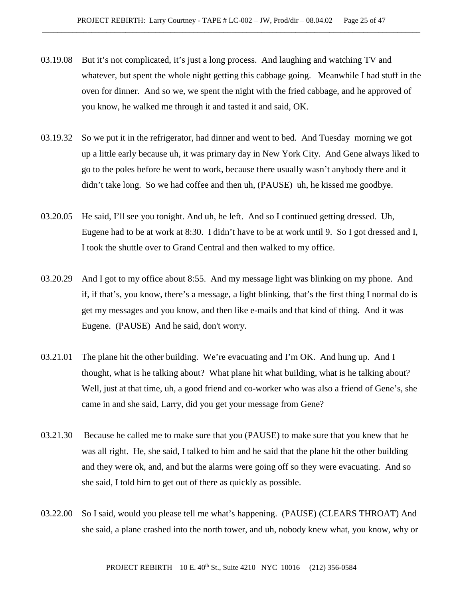- 03.19.08 But it's not complicated, it's just a long process. And laughing and watching TV and whatever, but spent the whole night getting this cabbage going. Meanwhile I had stuff in the oven for dinner. And so we, we spent the night with the fried cabbage, and he approved of you know, he walked me through it and tasted it and said, OK.
- 03.19.32 So we put it in the refrigerator, had dinner and went to bed. And Tuesday morning we got up a little early because uh, it was primary day in New York City. And Gene always liked to go to the poles before he went to work, because there usually wasn't anybody there and it didn't take long. So we had coffee and then uh, (PAUSE) uh, he kissed me goodbye.
- 03.20.05 He said, I'll see you tonight. And uh, he left. And so I continued getting dressed. Uh, Eugene had to be at work at 8:30. I didn't have to be at work until 9. So I got dressed and I, I took the shuttle over to Grand Central and then walked to my office.
- 03.20.29 And I got to my office about 8:55. And my message light was blinking on my phone. And if, if that's, you know, there's a message, a light blinking, that's the first thing I normal do is get my messages and you know, and then like e-mails and that kind of thing. And it was Eugene. (PAUSE) And he said, don't worry.
- 03.21.01 The plane hit the other building. We're evacuating and I'm OK. And hung up. And I thought, what is he talking about? What plane hit what building, what is he talking about? Well, just at that time, uh, a good friend and co-worker who was also a friend of Gene's, she came in and she said, Larry, did you get your message from Gene?
- 03.21.30 Because he called me to make sure that you (PAUSE) to make sure that you knew that he was all right. He, she said, I talked to him and he said that the plane hit the other building and they were ok, and, and but the alarms were going off so they were evacuating. And so she said, I told him to get out of there as quickly as possible.
- 03.22.00 So I said, would you please tell me what's happening. (PAUSE) (CLEARS THROAT) And she said, a plane crashed into the north tower, and uh, nobody knew what, you know, why or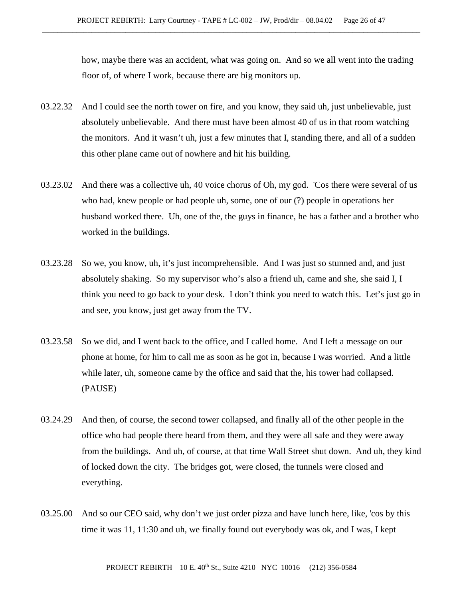how, maybe there was an accident, what was going on. And so we all went into the trading floor of, of where I work, because there are big monitors up.

- 03.22.32 And I could see the north tower on fire, and you know, they said uh, just unbelievable, just absolutely unbelievable. And there must have been almost 40 of us in that room watching the monitors. And it wasn't uh, just a few minutes that I, standing there, and all of a sudden this other plane came out of nowhere and hit his building.
- 03.23.02 And there was a collective uh, 40 voice chorus of Oh, my god. 'Cos there were several of us who had, knew people or had people uh, some, one of our (?) people in operations her husband worked there. Uh, one of the, the guys in finance, he has a father and a brother who worked in the buildings.
- 03.23.28 So we, you know, uh, it's just incomprehensible. And I was just so stunned and, and just absolutely shaking. So my supervisor who's also a friend uh, came and she, she said I, I think you need to go back to your desk. I don't think you need to watch this. Let's just go in and see, you know, just get away from the TV.
- 03.23.58 So we did, and I went back to the office, and I called home. And I left a message on our phone at home, for him to call me as soon as he got in, because I was worried. And a little while later, uh, someone came by the office and said that the, his tower had collapsed. (PAUSE)
- 03.24.29 And then, of course, the second tower collapsed, and finally all of the other people in the office who had people there heard from them, and they were all safe and they were away from the buildings. And uh, of course, at that time Wall Street shut down. And uh, they kind of locked down the city. The bridges got, were closed, the tunnels were closed and everything.
- 03.25.00 And so our CEO said, why don't we just order pizza and have lunch here, like, 'cos by this time it was 11, 11:30 and uh, we finally found out everybody was ok, and I was, I kept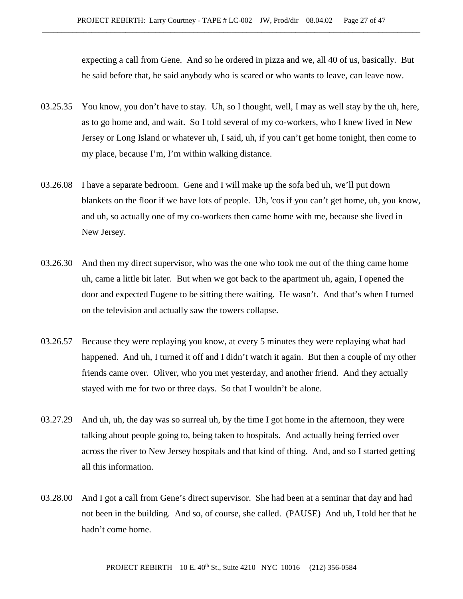expecting a call from Gene. And so he ordered in pizza and we, all 40 of us, basically. But he said before that, he said anybody who is scared or who wants to leave, can leave now.

- 03.25.35 You know, you don't have to stay. Uh, so I thought, well, I may as well stay by the uh, here, as to go home and, and wait. So I told several of my co-workers, who I knew lived in New Jersey or Long Island or whatever uh, I said, uh, if you can't get home tonight, then come to my place, because I'm, I'm within walking distance.
- 03.26.08 I have a separate bedroom. Gene and I will make up the sofa bed uh, we'll put down blankets on the floor if we have lots of people. Uh, 'cos if you can't get home, uh, you know, and uh, so actually one of my co-workers then came home with me, because she lived in New Jersey.
- 03.26.30 And then my direct supervisor, who was the one who took me out of the thing came home uh, came a little bit later. But when we got back to the apartment uh, again, I opened the door and expected Eugene to be sitting there waiting. He wasn't. And that's when I turned on the television and actually saw the towers collapse.
- 03.26.57 Because they were replaying you know, at every 5 minutes they were replaying what had happened. And uh, I turned it off and I didn't watch it again. But then a couple of my other friends came over. Oliver, who you met yesterday, and another friend. And they actually stayed with me for two or three days. So that I wouldn't be alone.
- 03.27.29 And uh, uh, the day was so surreal uh, by the time I got home in the afternoon, they were talking about people going to, being taken to hospitals. And actually being ferried over across the river to New Jersey hospitals and that kind of thing. And, and so I started getting all this information.
- 03.28.00 And I got a call from Gene's direct supervisor. She had been at a seminar that day and had not been in the building. And so, of course, she called. (PAUSE) And uh, I told her that he hadn't come home.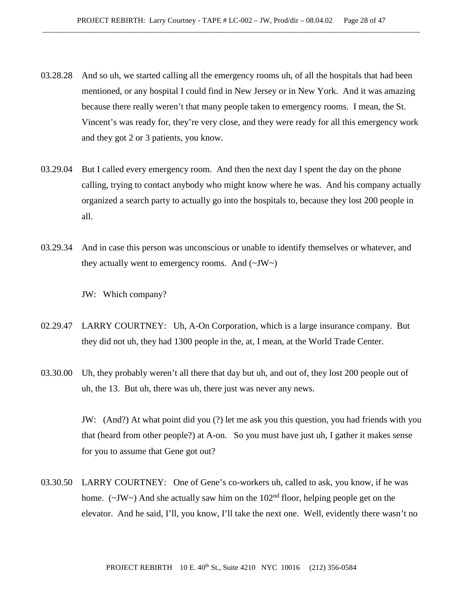- 03.28.28 And so uh, we started calling all the emergency rooms uh, of all the hospitals that had been mentioned, or any hospital I could find in New Jersey or in New York. And it was amazing because there really weren't that many people taken to emergency rooms. I mean, the St. Vincent's was ready for, they're very close, and they were ready for all this emergency work and they got 2 or 3 patients, you know.
- 03.29.04 But I called every emergency room. And then the next day I spent the day on the phone calling, trying to contact anybody who might know where he was. And his company actually organized a search party to actually go into the hospitals to, because they lost 200 people in all.
- 03.29.34 And in case this person was unconscious or unable to identify themselves or whatever, and they actually went to emergency rooms. And  $(\sim JW)$

JW: Which company?

- 02.29.47 LARRY COURTNEY: Uh, A-On Corporation, which is a large insurance company. But they did not uh, they had 1300 people in the, at, I mean, at the World Trade Center.
- 03.30.00 Uh, they probably weren't all there that day but uh, and out of, they lost 200 people out of uh, the 13. But uh, there was uh, there just was never any news.

JW: (And?) At what point did you (?) let me ask you this question, you had friends with you that (heard from other people?) at A-on. So you must have just uh, I gather it makes sense for you to assume that Gene got out?

03.30.50 LARRY COURTNEY: One of Gene's co-workers uh, called to ask, you know, if he was home. ( $\sim$ JW $\sim$ ) And she actually saw him on the 102<sup>nd</sup> floor, helping people get on the elevator. And he said, I'll, you know, I'll take the next one. Well, evidently there wasn't no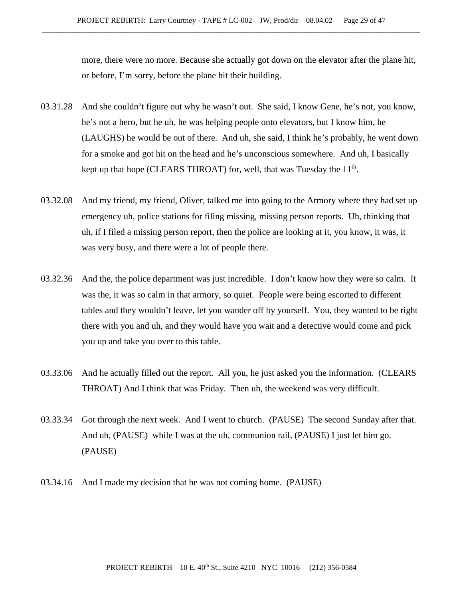more, there were no more. Because she actually got down on the elevator after the plane hit, or before, I'm sorry, before the plane hit their building.

- 03.31.28 And she couldn't figure out why he wasn't out. She said, I know Gene, he's not, you know, he's not a hero, but he uh, he was helping people onto elevators, but I know him, he (LAUGHS) he would be out of there. And uh, she said, I think he's probably, he went down for a smoke and got hit on the head and he's unconscious somewhere. And uh, I basically kept up that hope (CLEARS THROAT) for, well, that was Tuesday the  $11<sup>th</sup>$ .
- 03.32.08 And my friend, my friend, Oliver, talked me into going to the Armory where they had set up emergency uh, police stations for filing missing, missing person reports. Uh, thinking that uh, if I filed a missing person report, then the police are looking at it, you know, it was, it was very busy, and there were a lot of people there.
- 03.32.36 And the, the police department was just incredible. I don't know how they were so calm. It was the, it was so calm in that armory, so quiet. People were being escorted to different tables and they wouldn't leave, let you wander off by yourself. You, they wanted to be right there with you and uh, and they would have you wait and a detective would come and pick you up and take you over to this table.
- 03.33.06 And he actually filled out the report. All you, he just asked you the information. (CLEARS THROAT) And I think that was Friday. Then uh, the weekend was very difficult.
- 03.33.34 Got through the next week. And I went to church. (PAUSE) The second Sunday after that. And uh, (PAUSE) while I was at the uh, communion rail, (PAUSE) I just let him go. (PAUSE)
- 03.34.16 And I made my decision that he was not coming home. (PAUSE)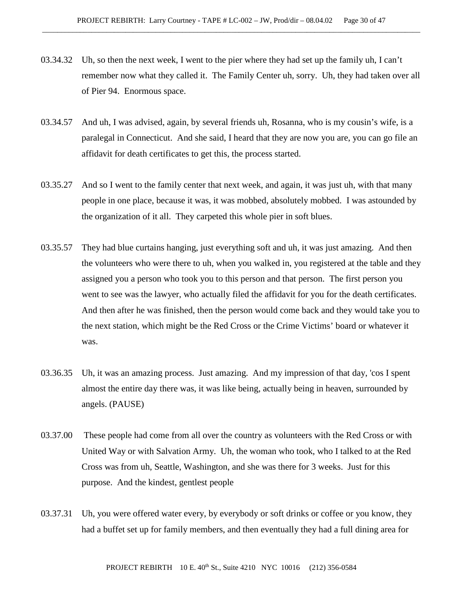- 03.34.32 Uh, so then the next week, I went to the pier where they had set up the family uh, I can't remember now what they called it. The Family Center uh, sorry. Uh, they had taken over all of Pier 94. Enormous space.
- 03.34.57 And uh, I was advised, again, by several friends uh, Rosanna, who is my cousin's wife, is a paralegal in Connecticut. And she said, I heard that they are now you are, you can go file an affidavit for death certificates to get this, the process started.
- 03.35.27 And so I went to the family center that next week, and again, it was just uh, with that many people in one place, because it was, it was mobbed, absolutely mobbed. I was astounded by the organization of it all. They carpeted this whole pier in soft blues.
- 03.35.57 They had blue curtains hanging, just everything soft and uh, it was just amazing. And then the volunteers who were there to uh, when you walked in, you registered at the table and they assigned you a person who took you to this person and that person. The first person you went to see was the lawyer, who actually filed the affidavit for you for the death certificates. And then after he was finished, then the person would come back and they would take you to the next station, which might be the Red Cross or the Crime Victims' board or whatever it was.
- 03.36.35 Uh, it was an amazing process. Just amazing. And my impression of that day, 'cos I spent almost the entire day there was, it was like being, actually being in heaven, surrounded by angels. (PAUSE)
- 03.37.00 These people had come from all over the country as volunteers with the Red Cross or with United Way or with Salvation Army. Uh, the woman who took, who I talked to at the Red Cross was from uh, Seattle, Washington, and she was there for 3 weeks. Just for this purpose. And the kindest, gentlest people
- 03.37.31 Uh, you were offered water every, by everybody or soft drinks or coffee or you know, they had a buffet set up for family members, and then eventually they had a full dining area for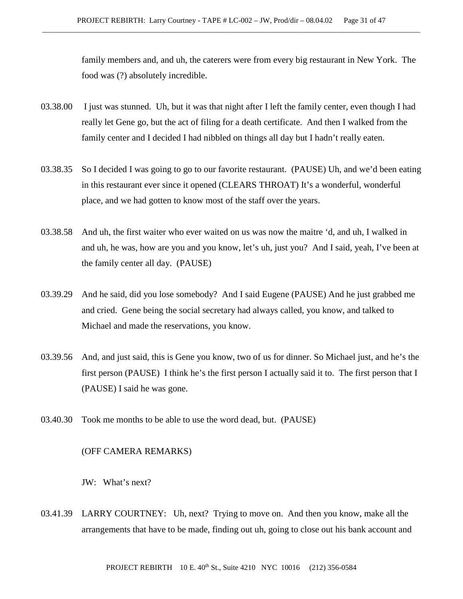family members and, and uh, the caterers were from every big restaurant in New York. The food was (?) absolutely incredible.

- 03.38.00 I just was stunned. Uh, but it was that night after I left the family center, even though I had really let Gene go, but the act of filing for a death certificate. And then I walked from the family center and I decided I had nibbled on things all day but I hadn't really eaten.
- 03.38.35 So I decided I was going to go to our favorite restaurant. (PAUSE) Uh, and we'd been eating in this restaurant ever since it opened (CLEARS THROAT) It's a wonderful, wonderful place, and we had gotten to know most of the staff over the years.
- 03.38.58 And uh, the first waiter who ever waited on us was now the maitre 'd, and uh, I walked in and uh, he was, how are you and you know, let's uh, just you? And I said, yeah, I've been at the family center all day. (PAUSE)
- 03.39.29 And he said, did you lose somebody? And I said Eugene (PAUSE) And he just grabbed me and cried. Gene being the social secretary had always called, you know, and talked to Michael and made the reservations, you know.
- 03.39.56 And, and just said, this is Gene you know, two of us for dinner. So Michael just, and he's the first person (PAUSE) I think he's the first person I actually said it to. The first person that I (PAUSE) I said he was gone.
- 03.40.30 Took me months to be able to use the word dead, but. (PAUSE)

### (OFF CAMERA REMARKS)

JW: What's next?

03.41.39 LARRY COURTNEY: Uh, next? Trying to move on. And then you know, make all the arrangements that have to be made, finding out uh, going to close out his bank account and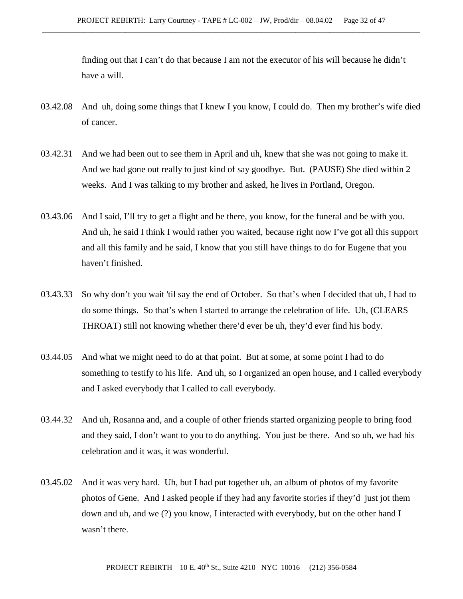finding out that I can't do that because I am not the executor of his will because he didn't have a will.

- 03.42.08 And uh, doing some things that I knew I you know, I could do. Then my brother's wife died of cancer.
- 03.42.31 And we had been out to see them in April and uh, knew that she was not going to make it. And we had gone out really to just kind of say goodbye. But. (PAUSE) She died within 2 weeks. And I was talking to my brother and asked, he lives in Portland, Oregon.
- 03.43.06 And I said, I'll try to get a flight and be there, you know, for the funeral and be with you. And uh, he said I think I would rather you waited, because right now I've got all this support and all this family and he said, I know that you still have things to do for Eugene that you haven't finished.
- 03.43.33 So why don't you wait 'til say the end of October. So that's when I decided that uh, I had to do some things. So that's when I started to arrange the celebration of life. Uh, (CLEARS THROAT) still not knowing whether there'd ever be uh, they'd ever find his body.
- 03.44.05 And what we might need to do at that point. But at some, at some point I had to do something to testify to his life. And uh, so I organized an open house, and I called everybody and I asked everybody that I called to call everybody.
- 03.44.32 And uh, Rosanna and, and a couple of other friends started organizing people to bring food and they said, I don't want to you to do anything. You just be there. And so uh, we had his celebration and it was, it was wonderful.
- 03.45.02 And it was very hard. Uh, but I had put together uh, an album of photos of my favorite photos of Gene. And I asked people if they had any favorite stories if they'd just jot them down and uh, and we (?) you know, I interacted with everybody, but on the other hand I wasn't there.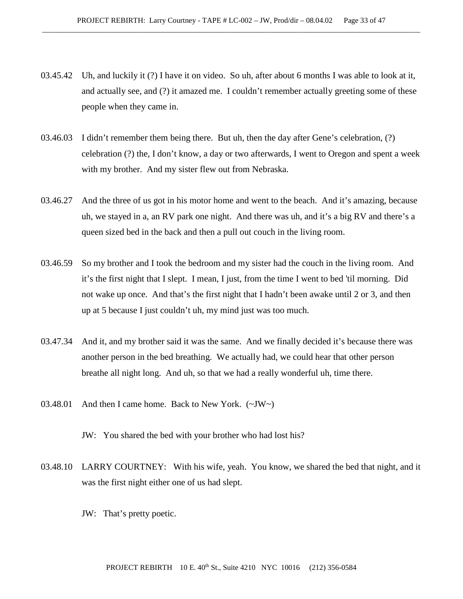- 03.45.42 Uh, and luckily it (?) I have it on video. So uh, after about 6 months I was able to look at it, and actually see, and (?) it amazed me. I couldn't remember actually greeting some of these people when they came in.
- 03.46.03 I didn't remember them being there. But uh, then the day after Gene's celebration, (?) celebration (?) the, I don't know, a day or two afterwards, I went to Oregon and spent a week with my brother. And my sister flew out from Nebraska.
- 03.46.27 And the three of us got in his motor home and went to the beach. And it's amazing, because uh, we stayed in a, an RV park one night. And there was uh, and it's a big RV and there's a queen sized bed in the back and then a pull out couch in the living room.
- 03.46.59 So my brother and I took the bedroom and my sister had the couch in the living room. And it's the first night that I slept. I mean, I just, from the time I went to bed 'til morning. Did not wake up once. And that's the first night that I hadn't been awake until 2 or 3, and then up at 5 because I just couldn't uh, my mind just was too much.
- 03.47.34 And it, and my brother said it was the same. And we finally decided it's because there was another person in the bed breathing. We actually had, we could hear that other person breathe all night long. And uh, so that we had a really wonderful uh, time there.
- 03.48.01 And then I came home. Back to New York. (~JW~)
	- JW: You shared the bed with your brother who had lost his?
- 03.48.10 LARRY COURTNEY: With his wife, yeah. You know, we shared the bed that night, and it was the first night either one of us had slept.
	- JW: That's pretty poetic.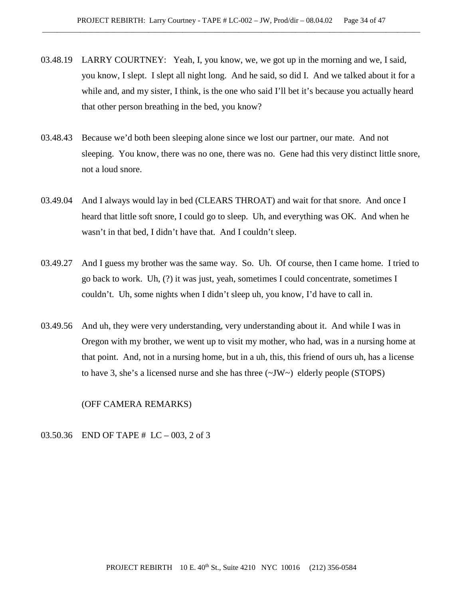- 03.48.19 LARRY COURTNEY: Yeah, I, you know, we, we got up in the morning and we, I said, you know, I slept. I slept all night long. And he said, so did I. And we talked about it for a while and, and my sister, I think, is the one who said I'll bet it's because you actually heard that other person breathing in the bed, you know?
- 03.48.43 Because we'd both been sleeping alone since we lost our partner, our mate. And not sleeping. You know, there was no one, there was no. Gene had this very distinct little snore, not a loud snore.
- 03.49.04 And I always would lay in bed (CLEARS THROAT) and wait for that snore. And once I heard that little soft snore, I could go to sleep. Uh, and everything was OK. And when he wasn't in that bed, I didn't have that. And I couldn't sleep.
- 03.49.27 And I guess my brother was the same way. So. Uh. Of course, then I came home. I tried to go back to work. Uh, (?) it was just, yeah, sometimes I could concentrate, sometimes I couldn't. Uh, some nights when I didn't sleep uh, you know, I'd have to call in.
- 03.49.56 And uh, they were very understanding, very understanding about it. And while I was in Oregon with my brother, we went up to visit my mother, who had, was in a nursing home at that point. And, not in a nursing home, but in a uh, this, this friend of ours uh, has a license to have 3, she's a licensed nurse and she has three  $(\sim JW \sim)$  elderly people (STOPS)

### (OFF CAMERA REMARKS)

03.50.36 END OF TAPE # LC – 003, 2 of 3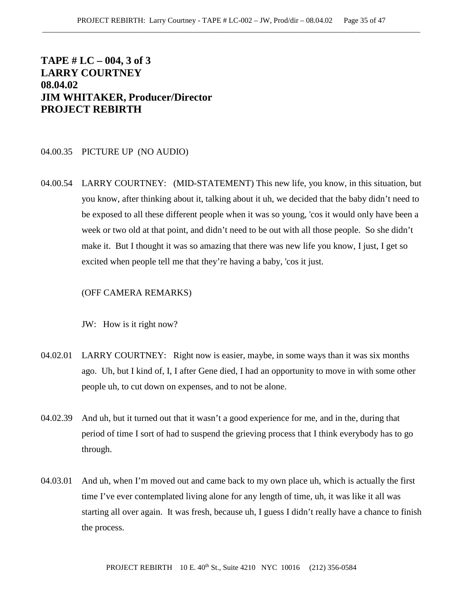# **TAPE # LC – 004, 3 of 3 LARRY COURTNEY 08.04.02 JIM WHITAKER, Producer/Director PROJECT REBIRTH**

### 04.00.35 PICTURE UP (NO AUDIO)

04.00.54 LARRY COURTNEY: (MID-STATEMENT) This new life, you know, in this situation, but you know, after thinking about it, talking about it uh, we decided that the baby didn't need to be exposed to all these different people when it was so young, 'cos it would only have been a week or two old at that point, and didn't need to be out with all those people. So she didn't make it. But I thought it was so amazing that there was new life you know, I just, I get so excited when people tell me that they're having a baby, 'cos it just.

## (OFF CAMERA REMARKS)

JW: How is it right now?

- 04.02.01 LARRY COURTNEY: Right now is easier, maybe, in some ways than it was six months ago. Uh, but I kind of, I, I after Gene died, I had an opportunity to move in with some other people uh, to cut down on expenses, and to not be alone.
- 04.02.39 And uh, but it turned out that it wasn't a good experience for me, and in the, during that period of time I sort of had to suspend the grieving process that I think everybody has to go through.
- 04.03.01 And uh, when I'm moved out and came back to my own place uh, which is actually the first time I've ever contemplated living alone for any length of time, uh, it was like it all was starting all over again. It was fresh, because uh, I guess I didn't really have a chance to finish the process.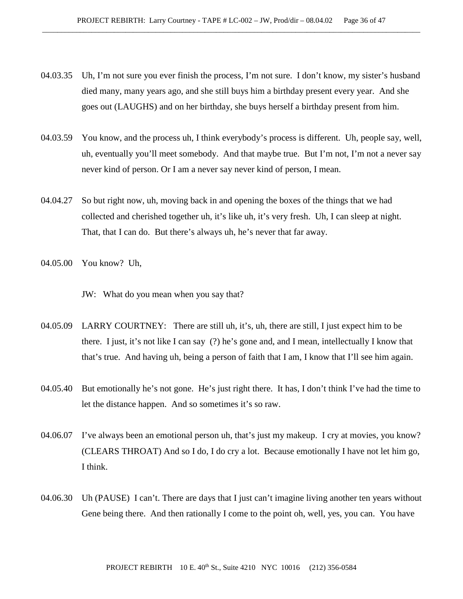- 04.03.35 Uh, I'm not sure you ever finish the process, I'm not sure. I don't know, my sister's husband died many, many years ago, and she still buys him a birthday present every year. And she goes out (LAUGHS) and on her birthday, she buys herself a birthday present from him.
- 04.03.59 You know, and the process uh, I think everybody's process is different. Uh, people say, well, uh, eventually you'll meet somebody. And that maybe true. But I'm not, I'm not a never say never kind of person. Or I am a never say never kind of person, I mean.
- 04.04.27 So but right now, uh, moving back in and opening the boxes of the things that we had collected and cherished together uh, it's like uh, it's very fresh. Uh, I can sleep at night. That, that I can do. But there's always uh, he's never that far away.
- 04.05.00 You know? Uh,

JW: What do you mean when you say that?

- 04.05.09 LARRY COURTNEY: There are still uh, it's, uh, there are still, I just expect him to be there. I just, it's not like I can say (?) he's gone and, and I mean, intellectually I know that that's true. And having uh, being a person of faith that I am, I know that I'll see him again.
- 04.05.40 But emotionally he's not gone. He's just right there. It has, I don't think I've had the time to let the distance happen. And so sometimes it's so raw.
- 04.06.07 I've always been an emotional person uh, that's just my makeup. I cry at movies, you know? (CLEARS THROAT) And so I do, I do cry a lot. Because emotionally I have not let him go, I think.
- 04.06.30 Uh (PAUSE) I can't. There are days that I just can't imagine living another ten years without Gene being there. And then rationally I come to the point oh, well, yes, you can. You have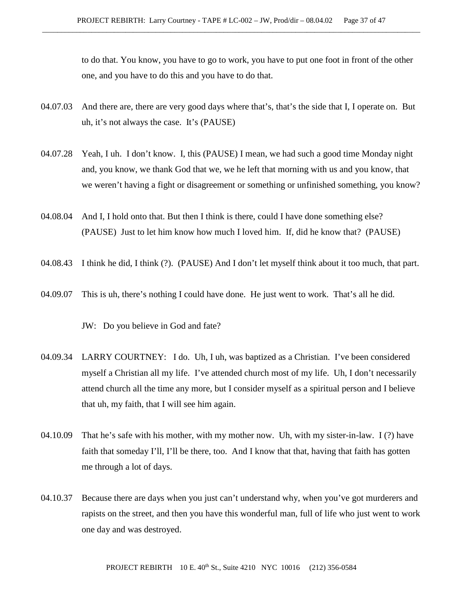to do that. You know, you have to go to work, you have to put one foot in front of the other one, and you have to do this and you have to do that.

- 04.07.03 And there are, there are very good days where that's, that's the side that I, I operate on. But uh, it's not always the case. It's (PAUSE)
- 04.07.28 Yeah, I uh. I don't know. I, this (PAUSE) I mean, we had such a good time Monday night and, you know, we thank God that we, we he left that morning with us and you know, that we weren't having a fight or disagreement or something or unfinished something, you know?
- 04.08.04 And I, I hold onto that. But then I think is there, could I have done something else? (PAUSE) Just to let him know how much I loved him. If, did he know that? (PAUSE)
- 04.08.43 I think he did, I think (?). (PAUSE) And I don't let myself think about it too much, that part.
- 04.09.07 This is uh, there's nothing I could have done. He just went to work. That's all he did.

JW: Do you believe in God and fate?

- 04.09.34 LARRY COURTNEY: I do. Uh, I uh, was baptized as a Christian. I've been considered myself a Christian all my life. I've attended church most of my life. Uh, I don't necessarily attend church all the time any more, but I consider myself as a spiritual person and I believe that uh, my faith, that I will see him again.
- 04.10.09 That he's safe with his mother, with my mother now. Uh, with my sister-in-law. I (?) have faith that someday I'll, I'll be there, too. And I know that that, having that faith has gotten me through a lot of days.
- 04.10.37 Because there are days when you just can't understand why, when you've got murderers and rapists on the street, and then you have this wonderful man, full of life who just went to work one day and was destroyed.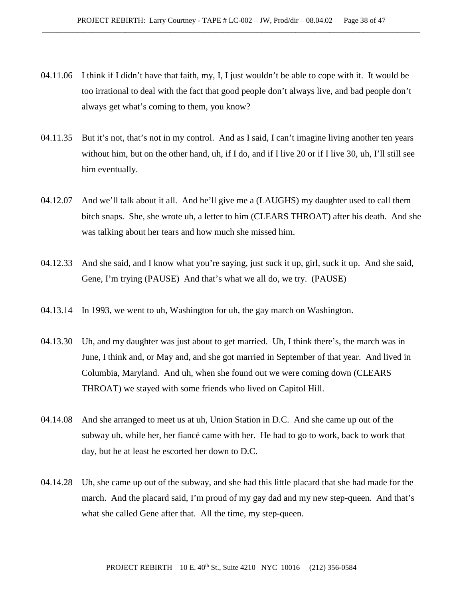- 04.11.06 I think if I didn't have that faith, my, I, I just wouldn't be able to cope with it. It would be too irrational to deal with the fact that good people don't always live, and bad people don't always get what's coming to them, you know?
- 04.11.35 But it's not, that's not in my control. And as I said, I can't imagine living another ten years without him, but on the other hand, uh, if I do, and if I live 20 or if I live 30, uh, I'll still see him eventually.
- 04.12.07 And we'll talk about it all. And he'll give me a (LAUGHS) my daughter used to call them bitch snaps. She, she wrote uh, a letter to him (CLEARS THROAT) after his death. And she was talking about her tears and how much she missed him.
- 04.12.33 And she said, and I know what you're saying, just suck it up, girl, suck it up. And she said, Gene, I'm trying (PAUSE) And that's what we all do, we try. (PAUSE)
- 04.13.14 In 1993, we went to uh, Washington for uh, the gay march on Washington.
- 04.13.30 Uh, and my daughter was just about to get married. Uh, I think there's, the march was in June, I think and, or May and, and she got married in September of that year. And lived in Columbia, Maryland. And uh, when she found out we were coming down (CLEARS THROAT) we stayed with some friends who lived on Capitol Hill.
- 04.14.08 And she arranged to meet us at uh, Union Station in D.C. And she came up out of the subway uh, while her, her fiancé came with her. He had to go to work, back to work that day, but he at least he escorted her down to D.C.
- 04.14.28 Uh, she came up out of the subway, and she had this little placard that she had made for the march. And the placard said, I'm proud of my gay dad and my new step-queen. And that's what she called Gene after that. All the time, my step-queen.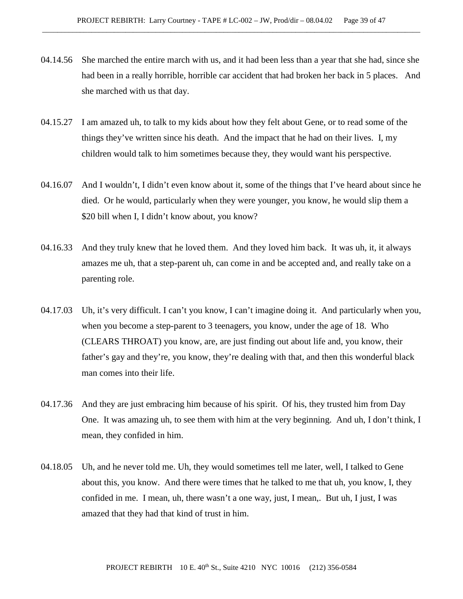- 04.14.56 She marched the entire march with us, and it had been less than a year that she had, since she had been in a really horrible, horrible car accident that had broken her back in 5 places. And she marched with us that day.
- 04.15.27 I am amazed uh, to talk to my kids about how they felt about Gene, or to read some of the things they've written since his death. And the impact that he had on their lives. I, my children would talk to him sometimes because they, they would want his perspective.
- 04.16.07 And I wouldn't, I didn't even know about it, some of the things that I've heard about since he died. Or he would, particularly when they were younger, you know, he would slip them a \$20 bill when I, I didn't know about, you know?
- 04.16.33 And they truly knew that he loved them. And they loved him back. It was uh, it, it always amazes me uh, that a step-parent uh, can come in and be accepted and, and really take on a parenting role.
- 04.17.03 Uh, it's very difficult. I can't you know, I can't imagine doing it. And particularly when you, when you become a step-parent to 3 teenagers, you know, under the age of 18. Who (CLEARS THROAT) you know, are, are just finding out about life and, you know, their father's gay and they're, you know, they're dealing with that, and then this wonderful black man comes into their life.
- 04.17.36 And they are just embracing him because of his spirit. Of his, they trusted him from Day One. It was amazing uh, to see them with him at the very beginning. And uh, I don't think, I mean, they confided in him.
- 04.18.05 Uh, and he never told me. Uh, they would sometimes tell me later, well, I talked to Gene about this, you know. And there were times that he talked to me that uh, you know, I, they confided in me. I mean, uh, there wasn't a one way, just, I mean,. But uh, I just, I was amazed that they had that kind of trust in him.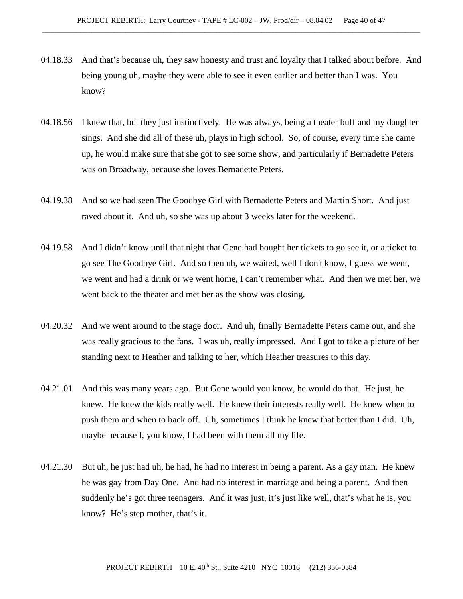- 04.18.33 And that's because uh, they saw honesty and trust and loyalty that I talked about before. And being young uh, maybe they were able to see it even earlier and better than I was. You know?
- 04.18.56 I knew that, but they just instinctively. He was always, being a theater buff and my daughter sings. And she did all of these uh, plays in high school. So, of course, every time she came up, he would make sure that she got to see some show, and particularly if Bernadette Peters was on Broadway, because she loves Bernadette Peters.
- 04.19.38 And so we had seen The Goodbye Girl with Bernadette Peters and Martin Short. And just raved about it. And uh, so she was up about 3 weeks later for the weekend.
- 04.19.58 And I didn't know until that night that Gene had bought her tickets to go see it, or a ticket to go see The Goodbye Girl. And so then uh, we waited, well I don't know, I guess we went, we went and had a drink or we went home, I can't remember what. And then we met her, we went back to the theater and met her as the show was closing.
- 04.20.32 And we went around to the stage door. And uh, finally Bernadette Peters came out, and she was really gracious to the fans. I was uh, really impressed. And I got to take a picture of her standing next to Heather and talking to her, which Heather treasures to this day.
- 04.21.01 And this was many years ago. But Gene would you know, he would do that. He just, he knew. He knew the kids really well. He knew their interests really well. He knew when to push them and when to back off. Uh, sometimes I think he knew that better than I did. Uh, maybe because I, you know, I had been with them all my life.
- 04.21.30 But uh, he just had uh, he had, he had no interest in being a parent. As a gay man. He knew he was gay from Day One. And had no interest in marriage and being a parent. And then suddenly he's got three teenagers. And it was just, it's just like well, that's what he is, you know? He's step mother, that's it.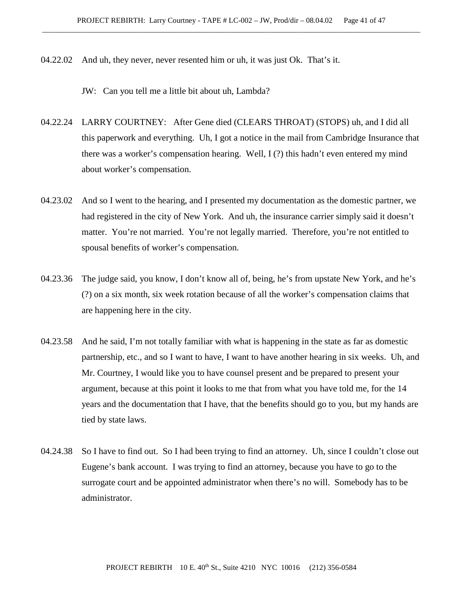04.22.02 And uh, they never, never resented him or uh, it was just Ok. That's it.

JW: Can you tell me a little bit about uh, Lambda?

- 04.22.24 LARRY COURTNEY: After Gene died (CLEARS THROAT) (STOPS) uh, and I did all this paperwork and everything. Uh, I got a notice in the mail from Cambridge Insurance that there was a worker's compensation hearing. Well, I (?) this hadn't even entered my mind about worker's compensation.
- 04.23.02 And so I went to the hearing, and I presented my documentation as the domestic partner, we had registered in the city of New York. And uh, the insurance carrier simply said it doesn't matter. You're not married. You're not legally married. Therefore, you're not entitled to spousal benefits of worker's compensation.
- 04.23.36 The judge said, you know, I don't know all of, being, he's from upstate New York, and he's (?) on a six month, six week rotation because of all the worker's compensation claims that are happening here in the city.
- 04.23.58 And he said, I'm not totally familiar with what is happening in the state as far as domestic partnership, etc., and so I want to have, I want to have another hearing in six weeks. Uh, and Mr. Courtney, I would like you to have counsel present and be prepared to present your argument, because at this point it looks to me that from what you have told me, for the 14 years and the documentation that I have, that the benefits should go to you, but my hands are tied by state laws.
- 04.24.38 So I have to find out. So I had been trying to find an attorney. Uh, since I couldn't close out Eugene's bank account. I was trying to find an attorney, because you have to go to the surrogate court and be appointed administrator when there's no will. Somebody has to be administrator.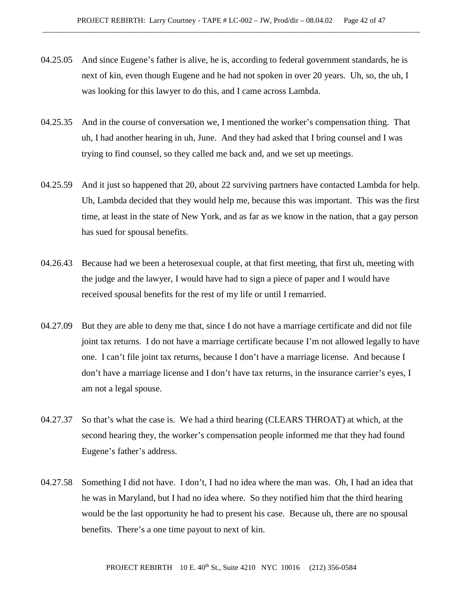- 04.25.05 And since Eugene's father is alive, he is, according to federal government standards, he is next of kin, even though Eugene and he had not spoken in over 20 years. Uh, so, the uh, I was looking for this lawyer to do this, and I came across Lambda.
- 04.25.35 And in the course of conversation we, I mentioned the worker's compensation thing. That uh, I had another hearing in uh, June. And they had asked that I bring counsel and I was trying to find counsel, so they called me back and, and we set up meetings.
- 04.25.59 And it just so happened that 20, about 22 surviving partners have contacted Lambda for help. Uh, Lambda decided that they would help me, because this was important. This was the first time, at least in the state of New York, and as far as we know in the nation, that a gay person has sued for spousal benefits.
- 04.26.43 Because had we been a heterosexual couple, at that first meeting, that first uh, meeting with the judge and the lawyer, I would have had to sign a piece of paper and I would have received spousal benefits for the rest of my life or until I remarried.
- 04.27.09 But they are able to deny me that, since I do not have a marriage certificate and did not file joint tax returns. I do not have a marriage certificate because I'm not allowed legally to have one. I can't file joint tax returns, because I don't have a marriage license. And because I don't have a marriage license and I don't have tax returns, in the insurance carrier's eyes, I am not a legal spouse.
- 04.27.37 So that's what the case is. We had a third hearing (CLEARS THROAT) at which, at the second hearing they, the worker's compensation people informed me that they had found Eugene's father's address.
- 04.27.58 Something I did not have. I don't, I had no idea where the man was. Oh, I had an idea that he was in Maryland, but I had no idea where. So they notified him that the third hearing would be the last opportunity he had to present his case. Because uh, there are no spousal benefits. There's a one time payout to next of kin.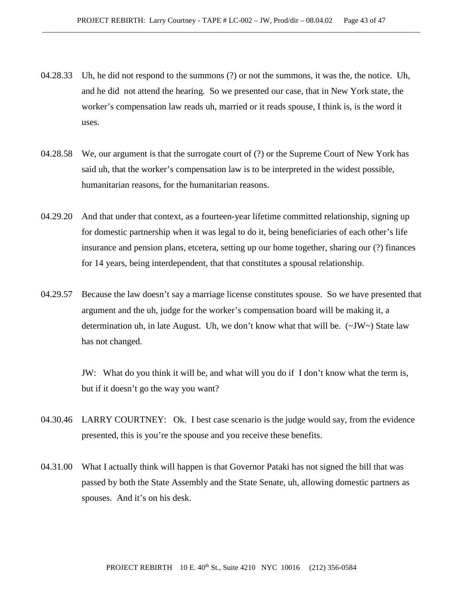- 04.28.33 Uh, he did not respond to the summons (?) or not the summons, it was the, the notice. Uh, and he did not attend the hearing. So we presented our case, that in New York state, the worker's compensation law reads uh, married or it reads spouse, I think is, is the word it uses.
- 04.28.58 We, our argument is that the surrogate court of (?) or the Supreme Court of New York has said uh, that the worker's compensation law is to be interpreted in the widest possible, humanitarian reasons, for the humanitarian reasons.
- 04.29.20 And that under that context, as a fourteen-year lifetime committed relationship, signing up for domestic partnership when it was legal to do it, being beneficiaries of each other's life insurance and pension plans, etcetera, setting up our home together, sharing our (?) finances for 14 years, being interdependent, that that constitutes a spousal relationship.
- 04.29.57 Because the law doesn't say a marriage license constitutes spouse. So we have presented that argument and the uh, judge for the worker's compensation board will be making it, a determination uh, in late August. Uh, we don't know what that will be. (~JW~) State law has not changed.

JW: What do you think it will be, and what will you do if I don't know what the term is, but if it doesn't go the way you want?

- 04.30.46 LARRY COURTNEY: Ok. I best case scenario is the judge would say, from the evidence presented, this is you're the spouse and you receive these benefits.
- 04.31.00 What I actually think will happen is that Governor Pataki has not signed the bill that was passed by both the State Assembly and the State Senate, uh, allowing domestic partners as spouses. And it's on his desk.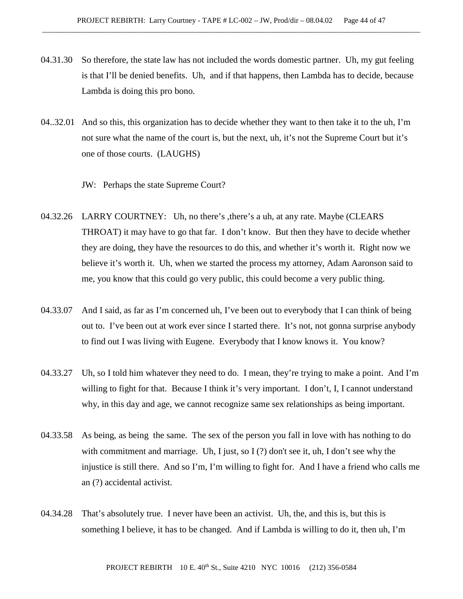- 04.31.30 So therefore, the state law has not included the words domestic partner. Uh, my gut feeling is that I'll be denied benefits. Uh, and if that happens, then Lambda has to decide, because Lambda is doing this pro bono.
- 04..32.01 And so this, this organization has to decide whether they want to then take it to the uh, I'm not sure what the name of the court is, but the next, uh, it's not the Supreme Court but it's one of those courts. (LAUGHS)

JW: Perhaps the state Supreme Court?

- 04.32.26 LARRY COURTNEY: Uh, no there's , there's a uh, at any rate. Maybe (CLEARS THROAT) it may have to go that far. I don't know. But then they have to decide whether they are doing, they have the resources to do this, and whether it's worth it. Right now we believe it's worth it. Uh, when we started the process my attorney, Adam Aaronson said to me, you know that this could go very public, this could become a very public thing.
- 04.33.07 And I said, as far as I'm concerned uh, I've been out to everybody that I can think of being out to. I've been out at work ever since I started there. It's not, not gonna surprise anybody to find out I was living with Eugene. Everybody that I know knows it. You know?
- 04.33.27 Uh, so I told him whatever they need to do. I mean, they're trying to make a point. And I'm willing to fight for that. Because I think it's very important. I don't, I, I cannot understand why, in this day and age, we cannot recognize same sex relationships as being important.
- 04.33.58 As being, as being the same. The sex of the person you fall in love with has nothing to do with commitment and marriage. Uh, I just, so I (?) don't see it, uh, I don't see why the injustice is still there. And so I'm, I'm willing to fight for. And I have a friend who calls me an (?) accidental activist.
- 04.34.28 That's absolutely true. I never have been an activist. Uh, the, and this is, but this is something I believe, it has to be changed. And if Lambda is willing to do it, then uh, I'm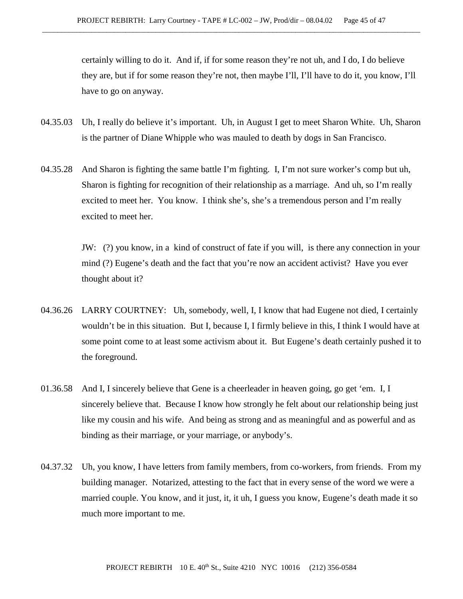certainly willing to do it. And if, if for some reason they're not uh, and I do, I do believe they are, but if for some reason they're not, then maybe I'll, I'll have to do it, you know, I'll have to go on anyway.

- 04.35.03 Uh, I really do believe it's important. Uh, in August I get to meet Sharon White. Uh, Sharon is the partner of Diane Whipple who was mauled to death by dogs in San Francisco.
- 04.35.28 And Sharon is fighting the same battle I'm fighting. I, I'm not sure worker's comp but uh, Sharon is fighting for recognition of their relationship as a marriage. And uh, so I'm really excited to meet her. You know. I think she's, she's a tremendous person and I'm really excited to meet her.

JW: (?) you know, in a kind of construct of fate if you will, is there any connection in your mind (?) Eugene's death and the fact that you're now an accident activist? Have you ever thought about it?

- 04.36.26 LARRY COURTNEY: Uh, somebody, well, I, I know that had Eugene not died, I certainly wouldn't be in this situation. But I, because I, I firmly believe in this, I think I would have at some point come to at least some activism about it. But Eugene's death certainly pushed it to the foreground.
- 01.36.58 And I, I sincerely believe that Gene is a cheerleader in heaven going, go get 'em. I, I sincerely believe that. Because I know how strongly he felt about our relationship being just like my cousin and his wife. And being as strong and as meaningful and as powerful and as binding as their marriage, or your marriage, or anybody's.
- 04.37.32 Uh, you know, I have letters from family members, from co-workers, from friends. From my building manager. Notarized, attesting to the fact that in every sense of the word we were a married couple. You know, and it just, it, it uh, I guess you know, Eugene's death made it so much more important to me.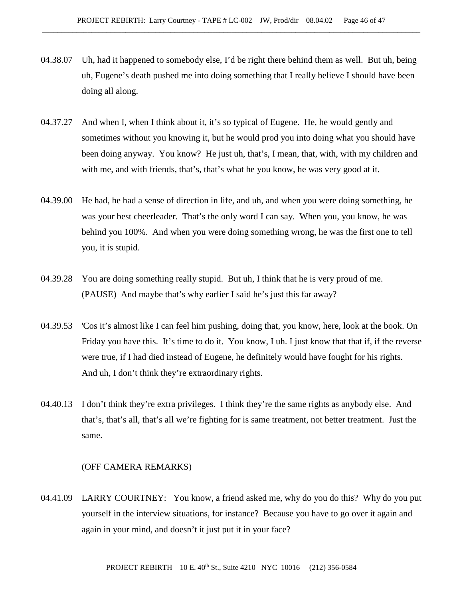- 04.38.07 Uh, had it happened to somebody else, I'd be right there behind them as well. But uh, being uh, Eugene's death pushed me into doing something that I really believe I should have been doing all along.
- 04.37.27 And when I, when I think about it, it's so typical of Eugene. He, he would gently and sometimes without you knowing it, but he would prod you into doing what you should have been doing anyway. You know? He just uh, that's, I mean, that, with, with my children and with me, and with friends, that's, that's what he you know, he was very good at it.
- 04.39.00 He had, he had a sense of direction in life, and uh, and when you were doing something, he was your best cheerleader. That's the only word I can say. When you, you know, he was behind you 100%. And when you were doing something wrong, he was the first one to tell you, it is stupid.
- 04.39.28 You are doing something really stupid. But uh, I think that he is very proud of me. (PAUSE) And maybe that's why earlier I said he's just this far away?
- 04.39.53 'Cos it's almost like I can feel him pushing, doing that, you know, here, look at the book. On Friday you have this. It's time to do it. You know, I uh. I just know that that if, if the reverse were true, if I had died instead of Eugene, he definitely would have fought for his rights. And uh, I don't think they're extraordinary rights.
- 04.40.13 I don't think they're extra privileges. I think they're the same rights as anybody else. And that's, that's all, that's all we're fighting for is same treatment, not better treatment. Just the same.

#### (OFF CAMERA REMARKS)

04.41.09 LARRY COURTNEY: You know, a friend asked me, why do you do this? Why do you put yourself in the interview situations, for instance? Because you have to go over it again and again in your mind, and doesn't it just put it in your face?